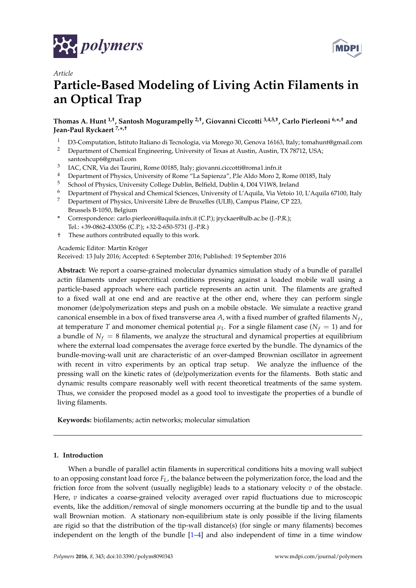



# *Article* **Particle-Based Modeling of Living Actin Filaments in an Optical Trap**

**Thomas A. Hunt 1,†, Santosh Mogurampelly 2,†, Giovanni Ciccotti 3,4,5,†, Carlo Pierleoni 6,\* ,† and Jean-Paul Ryckaert 7,\* ,†**

- <sup>1</sup> D3-Computation, Istituto Italiano di Tecnologia, via Morego 30, Genova 16163, Italy; tomahunt@gmail.com<br><sup>2</sup> Department of Chemical Engineering, University of Texas at Austin, Austin, TX 78712, USA
- <sup>2</sup> Department of Chemical Engineering, University of Texas at Austin, Austin, TX 78712, USA; santoshcup6@gmail.com
- 3 IAC, CNR, Via dei Taurini, Rome 00185, Italy; giovanni.ciccotti@roma1.infn.it
- <sup>4</sup> Department of Physics, University of Rome "La Sapienza", P.le Aldo Moro 2, Rome 00185, Italy
- <sup>5</sup> School of Physics, University College Dublin, Belfield, Dublin 4, D04 V1W8, Ireland
- <sup>6</sup> Department of Physical and Chemical Sciences, University of L'Aquila, Via Vetoio 10, L'Aquila 67100, Italy
- <sup>7</sup> Department of Physics, Université Libre de Bruxelles (ULB), Campus Plaine, CP 223, Brussels B-1050, Belgium
- **\*** Correspondence: carlo.pierleoni@aquila.infn.it (C.P.); jryckaer@ulb.ac.be (J.-P.R.); Tel.: +39-0862-433056 (C.P.); +32-2-650-5731 (J.-P.R.)
- † These authors contributed equally to this work.

Academic Editor: Martin Kröger

Received: 13 July 2016; Accepted: 6 September 2016; Published: 19 September 2016

**Abstract:** We report a coarse-grained molecular dynamics simulation study of a bundle of parallel actin filaments under supercritical conditions pressing against a loaded mobile wall using a particle-based approach where each particle represents an actin unit. The filaments are grafted to a fixed wall at one end and are reactive at the other end, where they can perform single monomer (de)polymerization steps and push on a mobile obstacle. We simulate a reactive grand canonical ensemble in a box of fixed transverse area *A*, with a fixed number of grafted filaments *N<sup>f</sup>* , at temperature *T* and monomer chemical potential  $\mu_1$ . For a single filament case ( $N_f = 1$ ) and for a bundle of  $N_f = 8$  filaments, we analyze the structural and dynamical properties at equilibrium where the external load compensates the average force exerted by the bundle. The dynamics of the bundle-moving-wall unit are characteristic of an over-damped Brownian oscillator in agreement with recent in vitro experiments by an optical trap setup. We analyze the influence of the pressing wall on the kinetic rates of (de)polymerization events for the filaments. Both static and dynamic results compare reasonably well with recent theoretical treatments of the same system. Thus, we consider the proposed model as a good tool to investigate the properties of a bundle of living filaments.

**Keywords:** biofilaments; actin networks; molecular simulation

# **1. Introduction**

When a bundle of parallel actin filaments in supercritical conditions hits a moving wall subject to an opposing constant load force *FL*, the balance between the polymerization force, the load and the friction force from the solvent (usually negligible) leads to a stationary velocity *v* of the obstacle. Here, *v* indicates a coarse-grained velocity averaged over rapid fluctuations due to microscopic events, like the addition/removal of single monomers occurring at the bundle tip and to the usual wall Brownian motion. A stationary non-equilibrium state is only possible if the living filaments are rigid so that the distribution of the tip-wall distance(s) (for single or many filaments) becomes independent on the length of the bundle [1–4] and also independent of time in a time window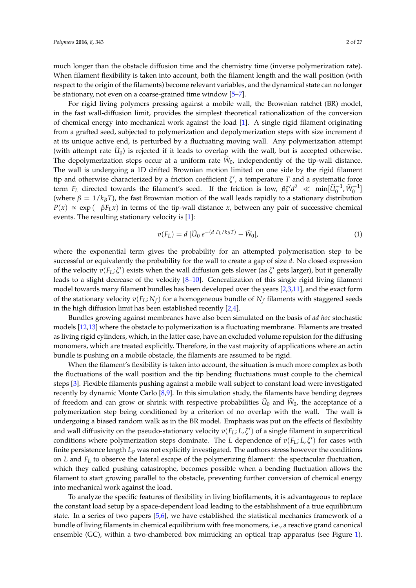much longer than the obstacle diffusion time and the chemistry time (inverse polymerization rate). When filament flexibility is taken into account, both the filament length and the wall position (with respect to the origin of the filaments) become relevant variables, and the dynamical state can no longer be stationary, not even on a coarse-grained time window [5–7].

For rigid living polymers pressing against a mobile wall, the Brownian ratchet (BR) model, in the fast wall-diffusion limit, provides the simplest theoretical rationalization of the conversion of chemical energy into mechanical work against the load [1]. A single rigid filament originating from a grafted seed, subjected to polymerization and depolymerization steps with size increment *d* at its unique active end, is perturbed by a fluctuating moving wall. Any polymerization attempt (with attempt rate  $U_0$ ) is rejected if it leads to overlap with the wall, but is accepted otherwise. The depolymerization steps occur at a uniform rate  $W_0$ , independently of the tip-wall distance. The wall is undergoing a 1D drifted Brownian motion limited on one side by the rigid filament tip and otherwise characterized by a friction coefficient *ζ* ′ , a temperature *T* and a systematic force term  $F_L$  directed towards the filament's seed. If the friction is low,  $\beta \zeta' d^2 \ll \min[\widetilde{U}_0^{-1}, \widetilde{W}_0^{-1}]$ (where  $\beta = 1/k_B T$ ), the fast Brownian motion of the wall leads rapidly to a stationary distribution  $P(x) \propto \exp(-\beta F_L x)$  in terms of the tip-wall distance *x*, between any pair of successive chemical events. The resulting stationary velocity is [1]:

$$
v(F_L) = d \left[ \widetilde{U}_0 e^{-(d F_L/k_B T)} - \widetilde{W}_0 \right], \tag{1}
$$

where the exponential term gives the probability for an attempted polymerisation step to be successful or equivalently the probability for the wall to create a gap of size *d*. No closed expression of the velocity  $v(F_L; \zeta')$  exists when the wall diffusion gets slower (as  $\zeta'$  gets larger), but it generally leads to a slight decrease of the velocity [8–10]. Generalization of this single rigid living filament model towards many filament bundles has been developed over the years [2,3,11], and the exact form of the stationary velocity  $v(F_L; N_f)$  for a homogeneous bundle of  $N_f$  filaments with staggered seeds in the high diffusion limit has been established recently [2,4].

Bundles growing against membranes have also been simulated on the basis of *ad hoc* stochastic models [12,13] where the obstacle to polymerization is a fluctuating membrane. Filaments are treated as living rigid cylinders, which, in the latter case, have an excluded volume repulsion for the diffusing monomers, which are treated explicitly. Therefore, in the vast majority of applications where an actin bundle is pushing on a mobile obstacle, the filaments are assumed to be rigid.

When the filament's flexibility is taken into account, the situation is much more complex as both the fluctuations of the wall position and the tip bending fluctuations must couple to the chemical steps [3]. Flexible filaments pushing against a mobile wall subject to constant load were investigated recently by dynamic Monte Carlo [8,9]. In this simulation study, the filaments have bending degrees of freedom and can grow or shrink with respective probabilities  $\tilde{U}_0$  and  $\tilde{W}_0$ , the acceptance of a polymerization step being conditioned by a criterion of no overlap with the wall. The wall is undergoing a biased random walk as in the BR model. Emphasis was put on the effects of flexibility and wall diffusivity on the pseudo-stationary velocity  $v(F_L; L, \zeta')$  of a single filament in supercritical conditions where polymerization steps dominate. The *L* dependence of  $v(F_L; L, \zeta')$  for cases with finite persistence length *Lp* was not explicitly investigated. The authors stress however the conditions on *L* and *F<sup>L</sup>* to observe the lateral escape of the polymerizing filament: the spectacular fluctuation, which they called pushing catastrophe, becomes possible when a bending fluctuation allows the filament to start growing parallel to the obstacle, preventing further conversion of chemical energy into mechanical work against the load.

To analyze the specific features of flexibility in living biofilaments, it is advantageous to replace the constant load setup by a space-dependent load leading to the establishment of a true equilibrium state. In a series of two papers [5,6], we have established the statistical mechanics framework of a bundle of living filaments in chemical equilibrium with free monomers, i.e., a reactive grand canonical ensemble (GC), within a two-chambered box mimicking an optical trap apparatus (see Figure 1).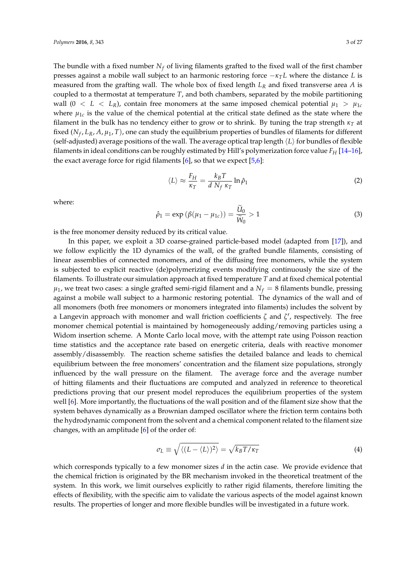The bundle with a fixed number  $N_f$  of living filaments grafted to the fixed wall of the first chamber presses against a mobile wall subject to an harmonic restoring force −*κ<sup>T</sup> L* where the distance *L* is measured from the grafting wall. The whole box of fixed length *L<sup>R</sup>* and fixed transverse area *A* is coupled to a thermostat at temperature *T*, and both chambers, separated by the mobile partitioning wall  $(0 < L < L_R)$ , contain free monomers at the same imposed chemical potential  $\mu_1 > \mu_{1c}$ where  $\mu_{1c}$  is the value of the chemical potential at the critical state defined as the state where the filament in the bulk has no tendency either to grow or to shrink. By tuning the trap strength  $\kappa_T$  at fixed (*N<sup>f</sup>* , *LR*, *A*, *µ*1, *T*), one can study the equilibrium properties of bundles of filaments for different (self-adjusted) average positions of the wall. The average optical trap length  $\langle L \rangle$  for bundles of flexible filaments in ideal conditions can be roughly estimated by Hill's polymerization force value *F<sup>H</sup>* [14–16], the exact average force for rigid filaments  $[6]$ , so that we expect  $[5,6]$ :

$$
\langle L \rangle \approx \frac{F_H}{\kappa_T} = \frac{k_B T}{d N_f \kappa_T} \ln \hat{\rho}_1 \tag{2}
$$

where:

$$
\hat{\rho}_1 = \exp\left(\beta(\mu_1 - \mu_{1c})\right) = \frac{\widetilde{U}_0}{\widetilde{W}_0} > 1\tag{3}
$$

is the free monomer density reduced by its critical value.

In this paper, we exploit a 3D coarse-grained particle-based model (adapted from [17]), and we follow explicitly the 1D dynamics of the wall, of the grafted bundle filaments, consisting of linear assemblies of connected monomers, and of the diffusing free monomers, while the system is subjected to explicit reactive (de)polymerizing events modifying continuously the size of the filaments. To illustrate our simulation approach at fixed temperature *T* and at fixed chemical potential  $\mu_1$ , we treat two cases: a single grafted semi-rigid filament and a  $N_f = 8$  filaments bundle, pressing against a mobile wall subject to a harmonic restoring potential. The dynamics of the wall and of all monomers (both free monomers or monomers integrated into filaments) includes the solvent by a Langevin approach with monomer and wall friction coefficients *ζ* and *ζ* ′ , respectively. The free monomer chemical potential is maintained by homogeneously adding/removing particles using a Widom insertion scheme. A Monte Carlo local move, with the attempt rate using Poisson reaction time statistics and the acceptance rate based on energetic criteria, deals with reactive monomer assembly/disassembly. The reaction scheme satisfies the detailed balance and leads to chemical equilibrium between the free monomers' concentration and the filament size populations, strongly influenced by the wall pressure on the filament. The average force and the average number of hitting filaments and their fluctuations are computed and analyzed in reference to theoretical predictions proving that our present model reproduces the equilibrium properties of the system well [6]. More importantly, the fluctuations of the wall position and of the filament size show that the system behaves dynamically as a Brownian damped oscillator where the friction term contains both the hydrodynamic component from the solvent and a chemical component related to the filament size changes, with an amplitude [6] of the order of:

$$
\sigma_L \equiv \sqrt{\langle (L - \langle L \rangle)^2 \rangle} = \sqrt{k_B T / \kappa_T} \tag{4}
$$

which corresponds typically to a few monomer sizes *d* in the actin case. We provide evidence that the chemical friction is originated by the BR mechanism invoked in the theoretical treatment of the system. In this work, we limit ourselves explicitly to rather rigid filaments, therefore limiting the effects of flexibility, with the specific aim to validate the various aspects of the model against known results. The properties of longer and more flexible bundles will be investigated in a future work.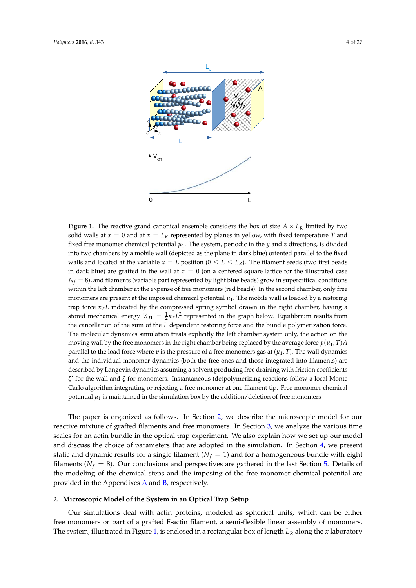

**Figure 1.** The reactive grand canonical ensemble considers the box of size  $A \times L_R$  limited by two solid walls at  $x = 0$  and at  $x = L_R$  represented by planes in yellow, with fixed temperature *T* and fixed free monomer chemical potential  $\mu_1$ . The system, periodic in the  $y$  and  $z$  directions, is divided into two chambers by a mobile wall (depicted as the plane in dark blue) oriented parallel to the fixed walls and located at the variable  $x = L$  position ( $0 \le L \le L_R$ ). The filament seeds (two first beads in dark blue) are grafted in the wall at  $x = 0$  (on a centered square lattice for the illustrated case  $N_f = 8$ ), and filaments (variable part represented by light blue beads) grow in supercritical conditions within the left chamber at the expense of free monomers (red beads). In the second chamber, only free monomers are present at the imposed chemical potential  $\mu_1$ . The mobile wall is loaded by a restoring trap force *κ<sup>T</sup> L* indicated by the compressed spring symbol drawn in the right chamber, having a stored mechanical energy  $V_{\text{OT}} = \frac{1}{2} \kappa_T L^2$  represented in the graph below. Equilibrium results from the cancellation of the sum of the *L* dependent restoring force and the bundle polymerization force. The molecular dynamics simulation treats explicitly the left chamber system only, the action on the moving wall by the free monomers in the right chamber being replaced by the average force  $p(\mu_1, T)A$ parallel to the load force where *p* is the pressure of a free monomers gas at (*µ*<sup>1</sup> , *T*). The wall dynamics and the individual monomer dynamics (both the free ones and those integrated into filaments) are described by Langevin dynamics assuming a solvent producing free draining with friction coefficients *ζ* ′ for the wall and *ζ* for monomers. Instantaneous (de)polymerizing reactions follow a local Monte Carlo algorithm integrating or rejecting a free monomer at one filament tip. Free monomer chemical potential  $\mu_1$  is maintained in the simulation box by the addition/deletion of free monomers.

The paper is organized as follows. In Section 2, we describe the microscopic model for our reactive mixture of grafted filaments and free monomers. In Section 3, we analyze the various time scales for an actin bundle in the optical trap experiment. We also explain how we set up our model and discuss the choice of parameters that are adopted in the simulation. In Section 4, we present static and dynamic results for a single filament ( $N_f = 1$ ) and for a homogeneous bundle with eight filaments ( $N_f = 8$ ). Our conclusions and perspectives are gathered in the last Section 5. Details of the modeling of the chemical steps and the imposing of the free monomer chemical potential are provided in the Appendixes  $A$  and  $B$ , respectively.

#### **2. Microscopic Model of the System in an Optical Trap Setup**

Our simulations deal with actin proteins, modeled as spherical units, which can be either free monomers or part of a grafted F-actin filament, a semi-flexible linear assembly of monomers. The system, illustrated in Figure 1, is enclosed in a rectangular box of length *L<sup>R</sup>* along the *x* laboratory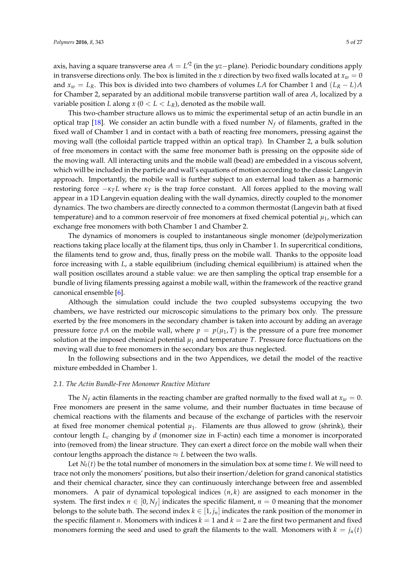axis, having a square transverse area *A* = *L* ′2 (in the *yz*−plane). Periodic boundary conditions apply in transverse directions only. The box is limited in the *x* direction by two fixed walls located at  $x_w = 0$ and  $x_w = L_R$ . This box is divided into two chambers of volumes *LA* for Chamber 1 and  $(L_R - L)A$ for Chamber 2, separated by an additional mobile transverse partition wall of area *A*, localized by a variable position *L* along  $x$  ( $0 < L < L_R$ ), denoted as the mobile wall.

This two-chamber structure allows us to mimic the experimental setup of an actin bundle in an optical trap [18]. We consider an actin bundle with a fixed number  $N_f$  of filaments, grafted in the fixed wall of Chamber 1 and in contact with a bath of reacting free monomers, pressing against the moving wall (the colloidal particle trapped within an optical trap). In Chamber 2, a bulk solution of free monomers in contact with the same free monomer bath is pressing on the opposite side of the moving wall. All interacting units and the mobile wall (bead) are embedded in a viscous solvent, which will be included in the particle and wall's equations of motion according to the classic Langevin approach. Importantly, the mobile wall is further subject to an external load taken as a harmonic restoring force  $-\kappa_T L$  where  $\kappa_T$  is the trap force constant. All forces applied to the moving wall appear in a 1D Langevin equation dealing with the wall dynamics, directly coupled to the monomer dynamics. The two chambers are directly connected to a common thermostat (Langevin bath at fixed temperature) and to a common reservoir of free monomers at fixed chemical potential  $\mu_1$ , which can exchange free monomers with both Chamber 1 and Chamber 2.

The dynamics of monomers is coupled to instantaneous single monomer (de)polymerization reactions taking place locally at the filament tips, thus only in Chamber 1. In supercritical conditions, the filaments tend to grow and, thus, finally press on the mobile wall. Thanks to the opposite load force increasing with *L*, a stable equilibrium (including chemical equilibrium) is attained when the wall position oscillates around a stable value: we are then sampling the optical trap ensemble for a bundle of living filaments pressing against a mobile wall, within the framework of the reactive grand canonical ensemble [6].

Although the simulation could include the two coupled subsystems occupying the two chambers, we have restricted our microscopic simulations to the primary box only. The pressure exerted by the free monomers in the secondary chamber is taken into account by adding an average pressure force *pA* on the mobile wall, where  $p = p(\mu_1, T)$  is the pressure of a pure free monomer solution at the imposed chemical potential  $\mu_1$  and temperature *T*. Pressure force fluctuations on the moving wall due to free monomers in the secondary box are thus neglected.

In the following subsections and in the two Appendices, we detail the model of the reactive mixture embedded in Chamber 1.

#### *2.1. The Actin Bundle-Free Monomer Reactive Mixture*

The  $N_f$  actin filaments in the reacting chamber are grafted normally to the fixed wall at  $x_w = 0$ . Free monomers are present in the same volume, and their number fluctuates in time because of chemical reactions with the filaments and because of the exchange of particles with the reservoir at fixed free monomer chemical potential  $\mu_1$ . Filaments are thus allowed to grow (shrink), their contour length *Lc* changing by *d* (monomer size in F-actin) each time a monomer is incorporated into (removed from) the linear structure. They can exert a direct force on the mobile wall when their contour lengths approach the distance  $\approx$  *L* between the two walls.

Let  $N_f(t)$  be the total number of monomers in the simulation box at some time *t*. We will need to trace not only the monomers' positions, but also their insertion/deletion for grand canonical statistics and their chemical character, since they can continuously interchange between free and assembled monomers. A pair of dynamical topological indices (*n*, *k*) are assigned to each monomer in the system. The first index  $n \in [0, N_f]$  indicates the specific filament,  $n = 0$  meaning that the monomer belongs to the solute bath. The second index  $k \in [1, j_n]$  indicates the rank position of the monomer in the specific filament *n*. Monomers with indices  $k = 1$  and  $k = 2$  are the first two permanent and fixed monomers forming the seed and used to graft the filaments to the wall. Monomers with  $k = j_n(t)$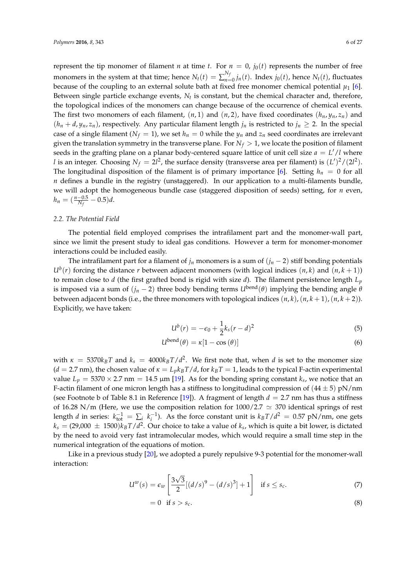represent the tip monomer of filament *n* at time *t*. For  $n = 0$ ,  $j_0(t)$  represents the number of free monomers in the system at that time; hence  $N_t(t) = \sum_{n=1}^{N_f}$  $\int_{n=0}^{N_f} j_n(t)$ . Index  $j_0(t)$ , hence  $N_t(t)$ , fluctuates because of the coupling to an external solute bath at fixed free monomer chemical potential  $\mu_1$  [6]. Between single particle exchange events, *Nt* is constant, but the chemical character and, therefore, the topological indices of the monomers can change because of the occurrence of chemical events. The first two monomers of each filament,  $(n, 1)$  and  $(n, 2)$ , have fixed coordinates  $(h_n, y_n, z_n)$  and  $(h_n + d, y_n, z_n)$ , respectively. Any particular filament length  $j_n$  is restricted to  $j_n \geq 2$ . In the special case of a single filament ( $N_f = 1$ ), we set  $h_n = 0$  while the  $y_n$  and  $z_n$  seed coordinates are irrelevant given the translation symmetry in the transverse plane. For  $N_f > 1$ , we locate the position of filament seeds in the grafting plane on a planar body-centered square lattice of unit cell size *a* = *L* ′/*l* where *l* is an integer. Choosing  $N_f = 2l^2$ , the surface density (transverse area per filament) is  $(L')^2/(2l^2)$ . The longitudinal disposition of the filament is of primary importance [6]. Setting  $h_n = 0$  for all *n* defines a bundle in the registry (unstaggered). In our application to a multi-filaments bundle, we will adopt the homogeneous bundle case (staggered disposition of seeds) setting, for *n* even,  $h_n = (\frac{n-0.5}{N_f} - 0.5)d$ .

#### *2.2. The Potential Field*

The potential field employed comprises the intrafilament part and the monomer-wall part, since we limit the present study to ideal gas conditions. However a term for monomer-monomer interactions could be included easily.

The intrafilament part for a filament of  $j_n$  monomers is a sum of  $(j_n - 2)$  stiff bonding potentials  $U^b(r)$  forcing the distance *r* between adjacent monomers (with logical indices  $(n, k)$  and  $(n, k + 1)$ ) to remain close to *d* (the first grafted bond is rigid with size *d*). The filament persistence length *Lp* is imposed via a sum of  $(j_n - 2)$  three body bending terms  $U^{bend}(\theta)$  implying the bending angle  $\theta$ between adjacent bonds (i.e., the three monomers with topological indices  $(n, k)$ ,  $(n, k + 1)$ ,  $(n, k + 2)$ ). Explicitly, we have taken:

$$
U^b(r) = -\epsilon_0 + \frac{1}{2}k_s(r-d)^2
$$
\n(5)

$$
U^{\text{bend}}(\theta) = \kappa [1 - \cos(\theta)] \tag{6}
$$

with  $\kappa = 5370k_BT$  and  $k_s = 4000k_BT/d^2$ . We first note that, when *d* is set to the monomer size  $(d = 2.7 \text{ nm})$ , the chosen value of  $\kappa = L_p k_B T/d$ , for  $k_B T = 1$ , leads to the typical F-actin experimental value  $L_p = 5370 \times 2.7$  nm = 14.5  $\mu$ m [19]. As for the bonding spring constant  $k_s$ , we notice that an F-actin filament of one micron length has a stiffness to longitudinal compression of  $(44 \pm 5)$  pN/nm (see Footnote b of Table 8.1 in Reference [19]). A fragment of length  $d = 2.7$  nm has thus a stiffness of 16.28 N/m (Here, we use the composition relation for  $1000/2.7 \simeq 370$  identical springs of rest length *d* in series:  $k_{\text{tot}}^{-1} = \sum_{i} k_i^{-1}$ ). As the force constant unit is  $k_B T/d^2 = 0.57 \text{ pN/nm}$ , one gets  $k_s = (29,000 \pm 1500)k_B T/d^2$ . Our choice to take a value of  $k_s$ , which is quite a bit lower, is dictated by the need to avoid very fast intramolecular modes, which would require a small time step in the numerical integration of the equations of motion.

Like in a previous study [20], we adopted a purely repulsive 9-3 potential for the monomer-wall interaction:

$$
U^{w}(s) = \epsilon_{w} \left[ \frac{3\sqrt{3}}{2} [(d/s)^{9} - (d/s)^{3}] + 1 \right] \quad \text{if } s \le s_{c}.
$$
 (7)

$$
= 0 \tif s > s_c. \t\t(8)
$$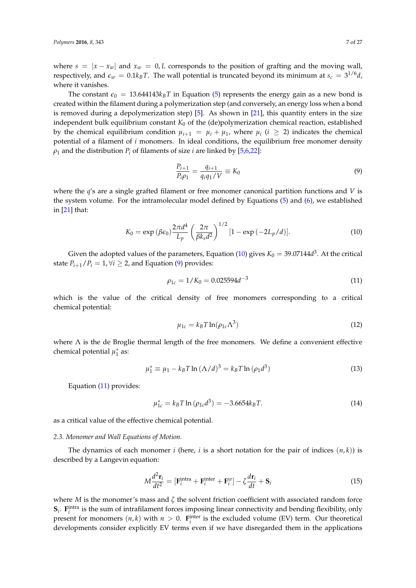where  $s = |x - x_w|$  and  $x_w = 0$ , *L* corresponds to the position of grafting and the moving wall, respectively, and  $\epsilon_w = 0.1 k_B T$ . The wall potential is truncated beyond its minimum at  $s_c = 3^{1/6} d$ , where it vanishes.

The constant  $\epsilon_0 = 13.644143k_B T$  in Equation (5) represents the energy gain as a new bond is created within the filament during a polymerization step (and conversely, an energy loss when a bond is removed during a depolymerization step)  $[5]$ . As shown in  $[21]$ , this quantity enters in the size independent bulk equilibrium constant *K*<sup>0</sup> of the (de)polymerization chemical reaction, established by the chemical equilibrium condition  $\mu_{i+1} = \mu_i + \mu_1$ , where  $\mu_i$  ( $i \geq 2$ ) indicates the chemical potential of a filament of *i* monomers. In ideal conditions, the equilibrium free monomer density  $\rho_1$  and the distribution  $P_i$  of filaments of size *i* are linked by [5,6,22]:

$$
\frac{P_{i+1}}{P_i \rho_1} = \frac{q_{i+1}}{q_i q_1 / V} \equiv K_0 \tag{9}
$$

where the *q*'s are a single grafted filament or free monomer canonical partition functions and *V* is the system volume. For the intramolecular model defined by Equations (5) and (6), we established in [21] that:

$$
K_0 = \exp\left(\beta \epsilon_0\right) \frac{2\pi d^4}{L_p} \left(\frac{2\pi}{\beta k_s d^2}\right)^{1/2} \left[1 - \exp\left(-2L_p/d\right)\right].\tag{10}
$$

Given the adopted values of the parameters, Equation (10) gives  $K_0 = 39.07144d^3$ . At the critical state  $P_{i+1}/P_i = 1, \forall i \geq 2$ , and Equation (9) provides:

$$
\rho_{1c} = 1/K_0 = 0.025594d^{-3}
$$
\n(11)

which is the value of the critical density of free monomers corresponding to a critical chemical potential:

$$
\mu_{1c} = k_B T \ln(\rho_{1c} \Lambda^3) \tag{12}
$$

where  $\Lambda$  is the de Broglie thermal length of the free monomers. We define a convenient effective chemical potential  $\mu_1^*$  as:

$$
\mu_1^* \equiv \mu_1 - k_B T \ln (\Lambda/d)^3 = k_B T \ln (\rho_1 d^3)
$$
 (13)

Equation (11) provides:

$$
\mu_{1c}^* = k_B T \ln \left( \rho_{1c} d^3 \right) = -3.6654 k_B T. \tag{14}
$$

as a critical value of the effective chemical potential.

#### *2.3. Monomer and Wall Equations of Motion.*

The dynamics of each monomer *i* (here, *i* is a short notation for the pair of indices  $(n, k)$ ) is described by a Langevin equation:

$$
M\frac{d^2\mathbf{r}_i}{dt^2} = \left[\mathbf{F}_i^{\text{intra}} + \mathbf{F}_i^{\text{inter}} + \mathbf{F}_i^w\right] - \zeta\frac{d\mathbf{r}_i}{dt} + \mathbf{S}_i
$$
\n(15)

where *M* is the monomer's mass and *ζ* the solvent friction coefficient with associated random force  $S_i$ .  $F_i^{\text{intra}}$  is the sum of intrafilament forces imposing linear connectivity and bending flexibility, only present for monomers  $(n, k)$  with  $n > 0$ .  $\mathbf{F}_i^{\text{inter}}$  is the excluded volume (EV) term. Our theoretical developments consider explicitly EV terms even if we have disregarded them in the applications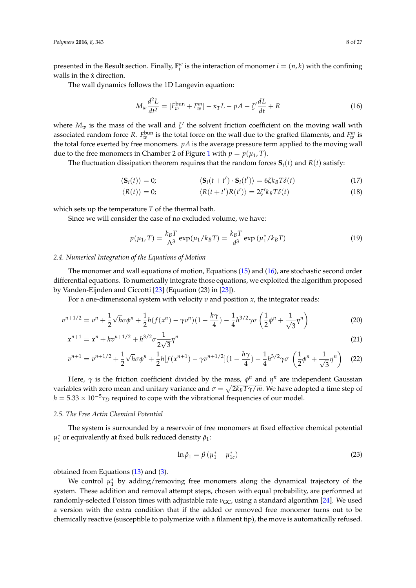presented in the Result section. Finally,  $\mathbf{F}_i^w$  is the interaction of monomer  $i = (n, k)$  with the confining walls in the  $\hat{x}$  direction.

The wall dynamics follows the 1D Langevin equation:

$$
M_w \frac{d^2L}{dt^2} = [F_w^{\text{bun}} + F_w^m] - \kappa_T L - pA - \zeta' \frac{dL}{dt} + R \tag{16}
$$

where  $M_w$  is the mass of the wall and  $\zeta'$  the solvent friction coefficient on the moving wall with associated random force *R*.  $F_w^{\text{bun}}$  is the total force on the wall due to the grafted filaments, and  $F_w^m$  is the total force exerted by free monomers.  $pA$  is the average pressure term applied to the moving wall due to the free monomers in Chamber 2 of Figure 1 with  $p = p(\mu_1, T)$ .

The fluctuation dissipation theorem requires that the random forces  $S_i(t)$  and  $R(t)$  satisfy:

$$
\langle \mathbf{S}_i(t) \rangle = 0; \qquad \langle \mathbf{S}_i(t+t') \cdot \mathbf{S}_i(t') \rangle = 6\zeta k_B T \delta(t) \qquad (17)
$$

$$
\langle R(t) \rangle = 0; \qquad \langle R(t+t')R(t') \rangle = 2\zeta' k_B T \delta(t) \qquad (18)
$$

which sets up the temperature *T* of the thermal bath.

Since we will consider the case of no excluded volume, we have:

$$
p(\mu_1, T) = \frac{k_B T}{\Lambda^3} \exp(\mu_1 / k_B T) = \frac{k_B T}{d^3} \exp(\mu_1^* / k_B T)
$$
 (19)

#### *2.4. Numerical Integration of the Equations of Motion*

The monomer and wall equations of motion, Equations (15) and (16), are stochastic second order differential equations. To numerically integrate those equations, we exploited the algorithm proposed by Vanden-Eijnden and Ciccotti [23] (Equation (23) in [23]).

For a one-dimensional system with velocity *v* and position *x*, the integrator reads:

$$
v^{n+1/2} = v^n + \frac{1}{2}\sqrt{h}\sigma\phi^n + \frac{1}{2}h(f(x^n) - \gamma v^n)(1 - \frac{h\gamma}{4}) - \frac{1}{4}h^{3/2}\gamma\sigma\left(\frac{1}{2}\phi^n + \frac{1}{\sqrt{3}}\eta^n\right)
$$
(20)

$$
x^{n+1} = x^n + hv^{n+1/2} + h^{3/2} \sigma \frac{1}{2\sqrt{3}} \eta^n
$$
\n(21)

$$
v^{n+1} = v^{n+1/2} + \frac{1}{2}\sqrt{h}\sigma\phi^n + \frac{1}{2}h[f(x^{n+1}) - \gamma v^{n+1/2}](1 - \frac{h\gamma}{4}) - \frac{1}{4}h^{3/2}\gamma\sigma\left(\frac{1}{2}\phi^n + \frac{1}{\sqrt{3}}\eta^n\right)
$$
(22)

Here,  $\gamma$  is the friction coefficient divided by the mass,  $\phi^n$  and  $\eta^n$  are independent Gaussian variables with zero mean and unitary variance and  $\sigma = \sqrt{2k_B T \gamma/m}.$  We have adopted a time step of  $h = 5.33 \times 10^{-5} \tau_D$  required to cope with the vibrational frequencies of our model.

#### *2.5. The Free Actin Chemical Potential*

The system is surrounded by a reservoir of free monomers at fixed effective chemical potential *µ* ∗ 1 or equivalently at fixed bulk reduced density *ρ*ˆ1:

$$
\ln \hat{\rho}_1 = \beta \left( \mu_1^* - \mu_{1c}^* \right) \tag{23}
$$

obtained from Equations  $(13)$  and  $(3)$ .

We control  $\mu_1^*$  by adding/removing free monomers along the dynamical trajectory of the system. These addition and removal attempt steps, chosen with equal probability, are performed at randomly-selected Poisson times with adjustable rate *ν*<sub>GC</sub>, using a standard algorithm [24]. We used a version with the extra condition that if the added or removed free monomer turns out to be chemically reactive (susceptible to polymerize with a filament tip), the move is automatically refused.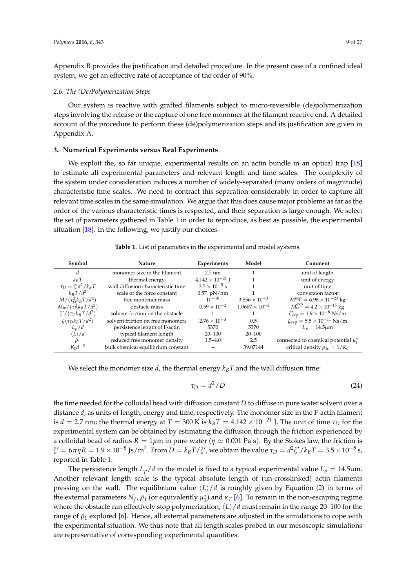Appendix B provides the justification and detailed procedure. In the present case of a confined ideal system, we get an effective rate of acceptance of the order of 90%.

#### *2.6. The (De)Polymerization Steps*

Our system is reactive with grafted filaments subject to micro-reversible (de)polymerization steps involving the release or the capture of one free monomer at the filament reactive end. A detailed account of the procedure to perform these (de)polymerization steps and its justification are given in Appendix A.

#### **3. Numerical Experiments versus Real Experiments**

We exploit the, so far unique, experimental results on an actin bundle in an optical trap [18] to estimate all experimental parameters and relevant length and time scales. The complexity of the system under consideration induces a number of widely-separated (many orders of magnitude) characteristic time scales. We need to contract this separation considerably in order to capture all relevant time scales in the same simulation. We argue that this does cause major problems as far as the order of the various characteristic times is respected, and their separation is large enough. We select the set of parameters gathered in Table 1 in order to reproduce, as best as possible, the experimental situation [18]. In the following, we justify our choices.

|  |  |  | Table 1. List of parameters in the experimental and model systems. |
|--|--|--|--------------------------------------------------------------------|
|--|--|--|--------------------------------------------------------------------|

| Symbol                        | <b>Nature</b>                      | <b>Experiments</b>        | Model                   | Comment                                              |
|-------------------------------|------------------------------------|---------------------------|-------------------------|------------------------------------------------------|
| d                             | monomer size in the filament       | $2.7 \text{ nm}$          |                         | unit of length                                       |
| $k_B T$                       | thermal energy                     | $4.142 \times 10^{-21}$ J |                         | unit of energy                                       |
| $\tau_D = \zeta' d^2 / k_B T$ | wall diffusion characteristic time | $3.5 \times 10^{-5}$ s    |                         | unit of time                                         |
| $k_B T/d^2$                   | scale of the force constant        | $0.57$ pN/nm              |                         | conversion factor                                    |
| $M/(\tau_D^2 k_B T/d^2)$      | free monomer mass                  | $10^{-10}$                | $3.556 \times 10^{-3}$  | $M^{\text{exp}} = 6.98 \times 10^{-23}$ kg           |
| $M_w/(\tau_D^2 k_B T/d^2)$    | obstacle mass                      | $0.59 \times 10^{-2}$     | $1.0667 \times 10^{-2}$ | $M_{w}^{\text{exp}} = 4.2 \times 10^{-15}$ kg        |
| $\zeta'/(\tau_D k_B T/d^2)$   | solvent friction on the obstacle   |                           |                         | $\zeta'_{exp} = 1.9 \times 10^{-8} \text{ Ns/m}$     |
| $\zeta(\tau_D k_B T/d^2)$     | solvent friction on free monomers  | $2.76 \times 10^{-3}$     | 0.5                     | $\zeta_{\rm exp} = 5.5 \times 10^{-11} \text{ Ns/m}$ |
| $L_p/d$                       | persistence length of F-actin      | 5370                      | 5370                    | $L_p = 14.5 \mu m$                                   |
| $\langle L \rangle / d$       | typical filament length            | $20 - 100$                | $20 - 100$              |                                                      |
| $\hat{\rho}_1$                | reduced free monomer density       | $1.5 - 4.0$               | 2.5                     | connected to chemical potential $\mu_1^*$            |
| $K_0d^{-3}$                   | bulk chemical equilibrium constant |                           | 39.07144                | critical density $\rho_{1c} = 1/K_0$                 |

We select the monomer size  $d$ , the thermal energy  $k_B T$  and the wall diffusion time:

$$
\tau_D = d^2/D \tag{24}
$$

the time needed for the colloidal bead with diffusion constant *D* to diffuse in pure water solvent over a distance *d*, as units of length, energy and time, respectively. The monomer size in the F-actin filament is *d* = 2.7 nm; the thermal energy at *T* = 300 K is  $k_B T = 4.142 \times 10^{-21}$  J. The unit of time  $\tau_D$  for the experimental system can be obtained by estimating the diffusion through the friction experienced by a colloidal bead of radius  $R = 1 \mu m$  in pure water ( $\eta \simeq 0.001$  Pa s). By the Stokes law, the friction is  $ζ' = 6πηR = 1.9 × 10<sup>-8</sup>$  Js/m<sup>2</sup>. From *D* =  $k_B T / ζ'$ , we obtain the value  $τ_D = d<sup>2</sup>ζ' / k_B T = 3.5 × 10<sup>-5</sup>$  s, reported in Table 1.

The persistence length  $L_p/d$  in the model is fixed to a typical experimental value  $L_p = 14.5 \mu m$ . Another relevant length scale is the typical absolute length of (un-crosslinked) actin filaments pressing on the wall. The equilibrium value  $\langle L \rangle / d$  is roughly given by Equation (2) in terms of the external parameters  $N_f$ ,  $\hat{\rho}_1$  (or equivalently  $\mu_1^*$ ) and  $\kappa_T$  [6]. To remain in the non-escaping regime where the obstacle can effectively stop polymerization,  $\langle L \rangle / d$  must remain in the range 20–100 for the range of  $\hat{\rho}_1$  explored [6]. Hence, all external parameters are adjusted in the simulations to cope with the experimental situation. We thus note that all length scales probed in our mesoscopic simulations are representative of corresponding experimental quantities.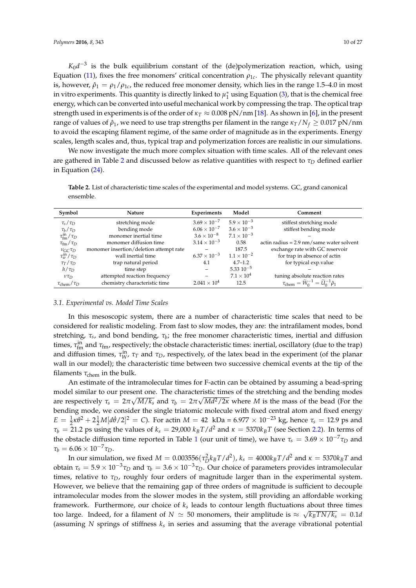$K_0d^{-3}$  is the bulk equilibrium constant of the (de)polymerization reaction, which, using Equation (11), fixes the free monomers' critical concentration  $\rho_{1c}$ . The physically relevant quantity is, however,  $\hat{\rho}_1 = \rho_1/\rho_{1c}$ , the reduced free monomer density, which lies in the range 1.5–4.0 in most in vitro experiments. This quantity is directly linked to  $\mu_1^*$  using Equation (3), that is the chemical free energy, which can be converted into useful mechanical work by compressing the trap. The optical trap strength used in experiments is of the order of *κ<sup>T</sup>* ≈ 0.008 pN/nm [18]. As shown in [6], in the present range of values of  $\hat{\rho}_1$ , we need to use trap strengths per filament in the range  $\kappa_T/N_f \geq 0.017 \text{ pN/nm}$ to avoid the escaping filament regime, of the same order of magnitude as in the experiments. Energy scales, length scales and, thus, typical trap and polymerization forces are realistic in our simulations.

We now investigate the much more complex situation with time scales. All of the relevant ones are gathered in Table 2 and discussed below as relative quantities with respect to *τ<sup>D</sup>* defined earlier in Equation (24).

**Table 2.** List of characteristic time scales of the experimental and model systems. GC, grand canonical ensemble.

| Symbol                                | Nature                                  | <b>Experiments</b>    | Model                | Comment                                                                          |
|---------------------------------------|-----------------------------------------|-----------------------|----------------------|----------------------------------------------------------------------------------|
| $\tau_{s}/\tau_{D}$                   | stretching mode                         | $3.69 \times 10^{-7}$ | $5.9 \times 10^{-3}$ | stiffest stretching mode                                                         |
| $\tau_b/\tau_D$                       | bending mode                            | $6.06 \times 10^{-7}$ | $3.6 \times 10^{-3}$ | stiffest bending mode                                                            |
| $\tau_{\text{fm}}^{\text{in}}/\tau_D$ | monomer inertial time                   | $3.6 \times 10^{-8}$  | $7.1 \times 10^{-3}$ |                                                                                  |
| $\tau_{\rm fm}/\tau_D$                | monomer diffusion time                  | $3.14 \times 10^{-3}$ | 0.58                 | actin radius = $2.9 \text{ nm/s}$ ame water solvent                              |
| $\nu$ <sub>GC</sub> $\tau_D$          | monomer insertion/deletion attempt rate |                       | 187.5                | exchange rate with GC reservoir                                                  |
| $\tau_w^{\rm in}/\tau_D$              | wall inertial time                      | $6.37 \times 10^{-3}$ | $1.1 \times 10^{-2}$ | for trap in absence of actin                                                     |
| $\tau_T/\tau_D$                       | trap natural period                     | 4.1                   | $4.7 - 1.2$          | for typical exp.value                                                            |
| $h/\tau_D$                            | time step                               |                       | $5.3310^{-5}$        |                                                                                  |
| $v\tau_D$                             | attempted reaction frequency            |                       | $7.1 \times 10^{4}$  | tuning absolute reaction rates                                                   |
| $\tau_{\rm chem}/\tau_D$              | chemistry characteristic time           | $2.041 \times 10^{4}$ | 12.5                 | $\tau_{\rm chem} = \widetilde{W}_{0}^{-1} = \widetilde{U}_{0}^{-1} \hat{\rho}_1$ |

## *3.1. Experimental vs. Model Time Scales*

In this mesoscopic system, there are a number of characteristic time scales that need to be considered for realistic modeling. From fast to slow modes, they are: the intrafilament modes, bond stretching, *τs* , and bond bending, *τ<sup>b</sup>* ; the free monomer characteristic times, inertial and diffusion times,  $\tau_{fm}^{\text{in}}$  and  $\tau_{fm}$ , respectively; the obstacle characteristic times: inertial, oscillatory (due to the trap) and diffusion times,  $\tau_W^{\text{in}}$ ,  $\tau_T$  and  $\tau_D$ , respectively, of the latex bead in the experiment (of the planar wall in our model); the characteristic time between two successive chemical events at the tip of the filaments  $\tau_{\text{chem}}$  in the bulk.

An estimate of the intramolecular times for F-actin can be obtained by assuming a bead-spring model similar to our present one. The characteristic times of the stretching and the bending modes are respectively  $\tau_s = 2\pi \sqrt{M/k_s}$  and  $\tau_b = 2\pi \sqrt{Md^2/2\kappa}$  where *M* is the mass of the bead (For the bending mode, we consider the single triatomic molecule with fixed central atom and fixed energy  $E = \frac{1}{2}\kappa\theta^2 + 2\frac{1}{2}M[d\dot{\theta}/2]^2 = C$ ). For actin  $M = 42$  kDa = 6.977 × 10<sup>-23</sup> kg, hence  $\tau_s = 12.9$  ps and  $\tau_b = 21.2$  ps using the values of  $k_s = 29{,}000$   $k_B T/d^2$  and  $\kappa = 5370$  $k_B T$  (see Section 2.2). In terms of the obstacle diffusion time reported in Table 1 (our unit of time), we have  $\tau_s = 3.69 \times 10^{-7} \tau_D$  and  $\tau_h = 6.06 \times 10^{-7} \tau_D$ .

In our simulation, we fixed  $M = 0.003556(\tau_D^2 k_B T/d^2)$ ,  $k_s = 4000 k_B T/d^2$  and  $\kappa = 5370 k_B T$  and obtain *τ*<sub>*s*</sub> = 5.9 × 10<sup>−3</sup>*τD* and *τb* = 3.6 × 10<sup>−3</sup>*τD*. Our choice of parameters provides intramolecular times, relative to *τD*, roughly four orders of magnitude larger than in the experimental system. However, we believe that the remaining gap of three orders of magnitude is sufficient to decouple intramolecular modes from the slower modes in the system, still providing an affordable working framework. Furthermore, our choice of *ks* leads to contour length fluctuations about three times too large. Indeed, for a filament of  $N \approx 50$  monomers, their amplitude is  $\approx \sqrt{k_B T N / k_s} = 0.1 d$ (assuming *N* springs of stiffness *ks* in series and assuming that the average vibrational potential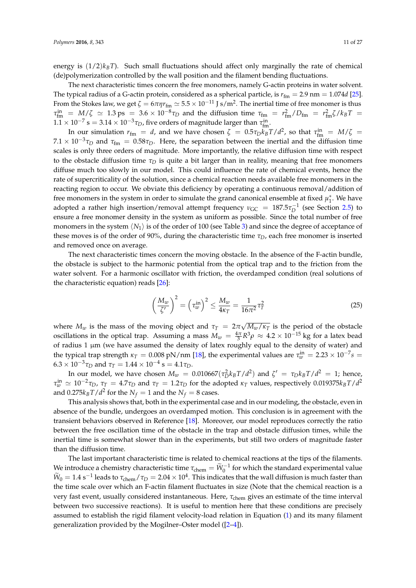energy is  $(1/2)$ *k<sub>B</sub>T*). Such small fluctuations should affect only marginally the rate of chemical (de)polymerization controlled by the wall position and the filament bending fluctuations.

The next characteristic times concern the free monomers, namely G-actin proteins in water solvent. The typical radius of a G-actin protein, considered as a spherical particle, is  $r_{\text{fm}} = 2.9$  nm = 1.074*d* [25]. From the Stokes law, we get  $\zeta = 6\pi\eta r_{\text{fm}} \simeq 5.5 \times 10^{-11}$  J s/m<sup>2</sup>. The inertial time of free monomer is thus  $\tau_{\rm fm}^{\rm in}$  =  $M/\zeta \simeq 1.3 \,\text{ps} = 3.6 \times 10^{-8} \tau_D$  and the diffusion time  $\tau_{\rm fm} = r_{\rm fm}^2/D_{\rm fm} = r_{\rm fm}^2 \zeta / k_B T =$  $1.1 \times 10^{-7}$  s =  $3.14 \times 10^{-3}$  *τ*<sub>*D</sub>*, five orders of magnitude larger than *τ*<sup>in</sup><sub>m</sub>.</sub>

In our simulation  $r_{\text{fm}} = d$ , and we have chosen  $\zeta = 0.5 \tau_D k_B T/d^2$ , so that  $\tau_{\text{fm}}^{\text{in}} = M/\zeta =$  $7.1 \times 10^{-3} \tau_D$  and  $\tau_{fm} = 0.58 \tau_D$ . Here, the separation between the inertial and the diffusion time scales is only three orders of magnitude. More importantly, the relative diffusion time with respect to the obstacle diffusion time  $\tau_D$  is quite a bit larger than in reality, meaning that free monomers diffuse much too slowly in our model. This could influence the rate of chemical events, hence the rate of supercriticality of the solution, since a chemical reaction needs available free monomers in the reacting region to occur. We obviate this deficiency by operating a continuous removal/addition of free monomers in the system in order to simulate the grand canonical ensemble at fixed  $\mu_1^*$ . We have adopted a rather high insertion/removal attempt frequency  $v_{\text{GC}} = 187.5 \tau_D^{-1}$  (see Section 2.5) to ensure a free monomer density in the system as uniform as possible. Since the total number of free monomers in the system  $\langle N_1 \rangle$  is of the order of 100 (see Table 3) and since the degree of acceptance of these moves is of the order of 90%, during the characteristic time  $\tau_D$ , each free monomer is inserted and removed once on average.

The next characteristic times concern the moving obstacle. In the absence of the F-actin bundle, the obstacle is subject to the harmonic potential from the optical trap and to the friction from the water solvent. For a harmonic oscillator with friction, the overdamped condition (real solutions of the characteristic equation) reads [26]:

$$
\left(\frac{M_w}{\zeta'}\right)^2 = \left(\tau_w^{\text{in}}\right)^2 \le \frac{M_w}{4\kappa_T} = \frac{1}{16\pi^2}\tau_T^2\tag{25}
$$

where  $M_w$  is the mass of the moving object and  $\tau_T = 2\pi \sqrt{M_w/\kappa_T}$  is the period of the obstacle oscillations in the optical trap. Assuming a mass  $M_w = \frac{4\pi}{3} R^3 \rho \approx 4.2 \times 10^{-15}$  kg for a latex bead of radius 1 µm (we have assumed the density of latex roughly equal to the density of water) and the typical trap strength  $\kappa_T = 0.008 \text{ pN/nm}$  [18], the experimental values are  $\tau_w^{\text{in}} = 2.23 \times 10^{-7} s =$  $6.3 \times 10^{-3} \tau_D$  and  $\tau_T = 1.44 \times 10^{-4}$  s =  $4.1 \tau_D$ .

In our model, we have chosen  $M_w = 0.010667(\tau_D^2 k_B T/d^2)$  and  $\zeta' = \tau_D k_B T/d^2 = 1$ ; hence, *τ*<sub>*w*</sub>  $\alpha$   $\alpha$   $\alpha$   $\beta$   $\gamma$  *τ<sub><i>T*</sub> = 4.7*τD* and *τ<sub>T</sub>* = 1.2*τ<sub>D</sub>* for the adopted *κ<sub>T</sub>* values, respectively 0.019375*k<sub>B</sub> T*/*d*<sup>2</sup> and  $0.275k_BT/d^2$  for the  $N_f = 1$  and the  $N_f = 8$  cases.

This analysis shows that, both in the experimental case and in our modeling, the obstacle, even in absence of the bundle, undergoes an overdamped motion. This conclusion is in agreement with the transient behaviors observed in Reference [18]. Moreover, our model reproduces correctly the ratio between the free oscillation time of the obstacle in the trap and obstacle diffusion times, while the inertial time is somewhat slower than in the experiments, but still two orders of magnitude faster than the diffusion time.

The last important characteristic time is related to chemical reactions at the tips of the filaments. We introduce a chemistry characteristic time  $\tau_{chem} = \widetilde{W}_0^{-1}$  for which the standard experimental value  $\tilde{W}_0 = 1.4 \text{ s}^{-1}$  leads to  $\tau_{\text{chem}}/\tau_D = 2.04 \times 10^4$ . This indicates that the wall diffusion is much faster than the time scale over which an F-actin filament fluctuates in size (Note that the chemical reaction is a very fast event, usually considered instantaneous. Here, *τ*chem gives an estimate of the time interval between two successive reactions). It is useful to mention here that these conditions are precisely assumed to establish the rigid filament velocity-load relation in Equation (1) and its many filament generalization provided by the Mogilner–Oster model ([2–4]).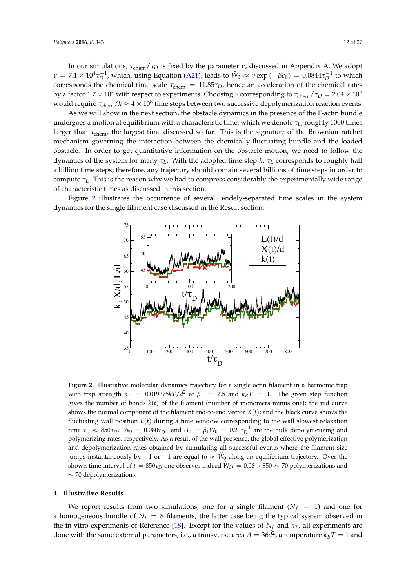In our simulations,  $\tau_{chem}/\tau_D$  is fixed by the parameter *v*, discussed in Appendix A. We adopt *ν* = 7.1 × 10<sup>4</sup>*τ*<sub>D</sub><sup>-1</sup>, which, using Equation (A21), leads to  $\widetilde{W}_0 ≈$  *ν* exp (−*βε*<sub>0</sub>) = 0.0844*τ*<sub>D</sub><sup>-1</sup> to which corresponds the chemical time scale  $\tau_{chem} = 11.85\tau_D$ , hence an acceleration of the chemical rates by a factor  $1.7 \times 10^3$  with respect to experiments. Choosing *ν* corresponding to  $\tau_{\text{chem}}/\tau_D = 2.04 \times 10^4$ would require  $\tau_{chem}/h \approx 4 \times 10^8$  time steps between two successive depolymerization reaction events.

As we will show in the next section, the obstacle dynamics in the presence of the F-actin bundle undergoes a motion at equilibrium with a characteristic time, which we denote *τL*, roughly 1000 times larger than *τ<sub>chem</sub>*, the largest time discussed so far. This is the signature of the Brownian ratchet mechanism governing the interaction between the chemically-fluctuating bundle and the loaded obstacle. In order to get quantitative information on the obstacle motion, we need to follow the dynamics of the system for many *τL*. With the adopted time step *h*, *τ<sup>L</sup>* corresponds to roughly half a billion time steps; therefore, any trajectory should contain several billions of time steps in order to compute  $\tau_L$ . This is the reason why we had to compress considerably the experimentally wide range of characteristic times as discussed in this section.

Figure 2 illustrates the occurrence of several, widely-separated time scales in the system dynamics for the single filament case discussed in the Result section.



**Figure 2.** Illustrative molecular dynamics trajectory for a single actin filament in a harmonic trap with trap strength  $\kappa_T = 0.019375kT/d^2$  at  $\hat{\rho}_1 = 2.5$  and  $k_B T = 1$ . The green step function gives the number of bonds  $k(t)$  of the filament (number of monomers minus one); the red curve shows the normal component of the filament end-to-end vector  $X(t)$ ; and the black curve shows the fluctuating wall position *L*(*t*) during a time window corresponding to the wall slowest relaxation time  $τ_L ≈ 850τ_D$ .  $\widetilde{W}_0 = 0.080τ_D^{-1}$  and  $\widetilde{U}_0 = \hat{\rho}_1 \widetilde{W}_0 = 0.20τ_D^{-1}$  are the bulk depolymerizing and polymerizing rates, respectively. As a result of the wall presence, the global effective polymerization and depolymerization rates obtained by cumulating all successful events where the filament size jumps instantaneously by +1 or −1 are equal to  $\approx W_0$  along an equilibrium trajectory. Over the shown time interval of  $t = 850\tau_D$  one observes indeed  $W_0 t = 0.08 \times 850 \sim 70$  polymerizations and ∼ 70 depolymerizations.

## **4. Illustrative Results**

We report results from two simulations, one for a single filament ( $N_f = 1$ ) and one for a homogeneous bundle of  $N_f = 8$  filaments, the latter case being the typical system observed in the in vitro experiments of Reference [18]. Except for the values of  $N_f$  and  $\kappa_T$ , all experiments are done with the same external parameters, i.e., a transverse area  $A = 36d^2$ , a temperature  $k_B T = 1$  and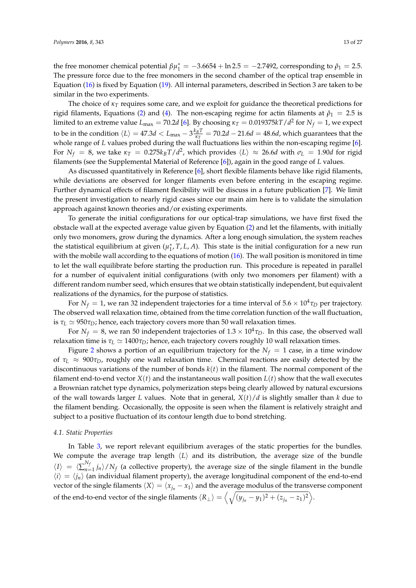the free monomer chemical potential  $\beta \mu_1^* = -3.6654 + \ln 2.5 = -2.7492$ , corresponding to  $\hat{\rho}_1 = 2.5$ . The pressure force due to the free monomers in the second chamber of the optical trap ensemble in Equation (16) is fixed by Equation (19). All internal parameters, described in Section 3 are taken to be similar in the two experiments.

The choice of *κ<sup>T</sup>* requires some care, and we exploit for guidance the theoretical predictions for rigid filaments, Equations (2) and (4). The non-escaping regime for actin filaments at  $\hat{\rho}_1 = 2.5$  is limited to an extreme value  $L_{\text{max}} = 70.2$ d [6]. By choosing  $\kappa_T = 0.019375 kT/d^2$  for  $N_f = 1$ , we expect to be in the condition  $\langle L \rangle = 47.3d < L_{\text{max}} - 3\frac{k_B T}{\kappa_T} = 70.2d - 21.6d = 48.6d$ , which guarantees that the *κT* whole range of *L* values probed during the wall fluctuations lies within the non-escaping regime [6]. For  $N_f = 8$ , we take  $\kappa_T = 0.275 k_B T/d^2$ , which provides  $\langle L \rangle \approx 26.6d$  with  $\sigma_L = 1.90d$  for rigid filaments (see the Supplemental Material of Reference [6]), again in the good range of *L* values.

As discussed quantitatively in Reference [6], short flexible filaments behave like rigid filaments, while deviations are observed for longer filaments even before entering in the escaping regime. Further dynamical effects of filament flexibility will be discuss in a future publication [7]. We limit the present investigation to nearly rigid cases since our main aim here is to validate the simulation approach against known theories and/or existing experiments.

To generate the initial configurations for our optical-trap simulations, we have first fixed the obstacle wall at the expected average value given by Equation (2) and let the filaments, with initially only two monomers, grow during the dynamics. After a long enough simulation, the system reaches the statistical equilibrium at given  $(\mu_1^*, T, L, A)$ . This state is the initial configuration for a new run with the mobile wall according to the equations of motion (16). The wall position is monitored in time to let the wall equilibrate before starting the production run. This procedure is repeated in parallel for a number of equivalent initial configurations (with only two monomers per filament) with a different random number seed, which ensures that we obtain statistically independent, but equivalent realizations of the dynamics, for the purpose of statistics.

For  $N_f = 1$ , we ran 32 independent trajectories for a time interval of  $5.6 \times 10^4 \tau_D$  per trajectory. The observed wall relaxation time, obtained from the time correlation function of the wall fluctuation, is  $τ_L ≈ 950τ_D$ ; hence, each trajectory covers more than 50 wall relaxation times.

For  $N_f = 8$ , we ran 50 independent trajectories of  $1.3 \times 10^4 \tau_D$ . In this case, the observed wall relaxation time is  $τ_L \approx 1400τ_D$ ; hence, each trajectory covers roughly 10 wall relaxation times.

Figure 2 shows a portion of an equilibrium trajectory for the  $N_f = 1$  case, in a time window of *τ<sup>L</sup>* ≈ 900*τD*, roughly one wall relaxation time. Chemical reactions are easily detected by the discontinuous variations of the number of bonds *k*(*t*) in the filament. The normal component of the filament end-to-end vector  $X(t)$  and the instantaneous wall position  $L(t)$  show that the wall executes a Brownian ratchet type dynamics, polymerization steps being clearly allowed by natural excursions of the wall towards larger *L* values. Note that in general, *X*(*t*)/*d* is slightly smaller than *k* due to the filament bending. Occasionally, the opposite is seen when the filament is relatively straight and subject to a positive fluctuation of its contour length due to bond stretching.

#### *4.1. Static Properties*

In Table 3, we report relevant equilibrium averages of the static properties for the bundles. We compute the average trap length  $\langle L \rangle$  and its distribution, the average size of the bundle  $\langle I \rangle = \langle \sum_{n=1}^{N_f}$  $\int_{n=1}^{1} j_n$  *n*  $\int N_f$  (a collective property), the average size of the single filament in the bundle  $\langle i \rangle = \langle j_n \rangle$  (an individual filament property), the average longitudinal component of the end-to-end vector of the single filaments  $\langle X \rangle = \langle x_{j_n} - x_1 \rangle$  and the average modulus of the transverse component of the end-to-end vector of the single filaments  $\langle R_{\perp} \rangle = \left\langle \sqrt{(y_{j_n} - y_1)^2 + (z_{j_n} - z_1)^2} \right\rangle$ .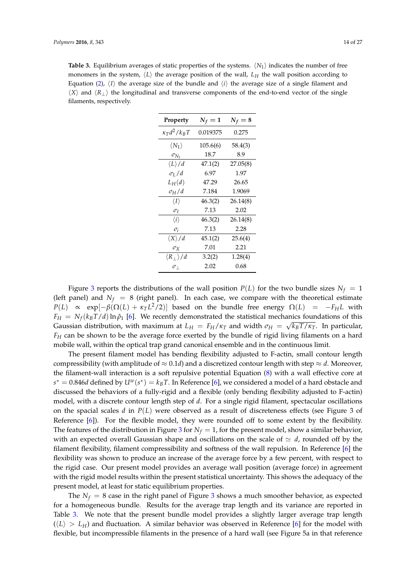**Table 3.** Equilibrium averages of static properties of the systems.  $\langle N_1 \rangle$  indicates the number of free monomers in the system,  $\langle L \rangle$  the average position of the wall,  $L_H$  the wall position according to Equation (2),  $\langle I \rangle$  the average size of the bundle and  $\langle i \rangle$  the average size of a single filament and  $\langle X \rangle$  and  $\langle R_{\perp} \rangle$  the longitudinal and transverse components of the end-to-end vector of the single filaments, respectively.

| Property                        | $N_f=1$  | $N_f=8$  |
|---------------------------------|----------|----------|
| $\kappa_T d^2/k_B T$            | 0.019375 | 0.275    |
| $\langle N_1 \rangle$           | 105.6(6) | 58.4(3)  |
| $\sigma_{N_1}$                  | 18.7     | 8.9      |
| $\langle L \rangle / d$         | 47.1(2)  | 27.05(8) |
| $\sigma_I/d$                    | 6.97     | 1.97     |
| $L_H(d)$                        | 47.29    | 26.65    |
| $\sigma_H/d$                    | 7.184    | 1.9069   |
| $\langle I \rangle$             | 46.3(2)  | 26.14(8) |
| $\sigma_I$                      | 7.13     | 2.02     |
| $\langle i \rangle$             | 46.3(2)  | 26.14(8) |
| $\sigma_i$                      | 7.13     | 2.28     |
| $\langle X \rangle / d$         | 45.1(2)  | 25.6(4)  |
| $\sigma_{\rm X}$                | 7.01     | 2.21     |
| $\langle R_{\perp} \rangle / d$ | 3.2(2)   | 1.28(4)  |
| $\sigma_{\perp}$                | 2.02     | 0.68     |

Figure 3 reports the distributions of the wall position  $P(L)$  for the two bundle sizes  $N_f = 1$ (left panel) and  $N_f = 8$  (right panel). In each case, we compare with the theoretical estimate *P*(*L*) ∝ exp[−*β*( $Ω(L) + κ<sub>T</sub> L<sup>2</sup>/2$ )] based on the bundle free energy  $Ω(L) = -F<sub>H</sub>L$  with  $F_H = N_f (k_B T/d) \ln \hat{\rho}_1$  [6]. We recently demonstrated the statistical mechanics foundations of this Gaussian distribution, with maximum at  $L_H = F_H/\kappa_T$  and width  $\sigma_H = \sqrt{k_B T/\kappa_T}$ . In particular, *F<sup>H</sup>* can be shown to be the average force exerted by the bundle of rigid living filaments on a hard mobile wall, within the optical trap grand canonical ensemble and in the continuous limit.

The present filament model has bending flexibility adjusted to F-actin, small contour length compressibility (with amplitude of  $\approx 0.1d$ ) and a discretized contour length with step  $\approx d$ . Moreover, the filament-wall interaction is a soft repulsive potential Equation (8) with a wall effective core at  $s^* = 0.846d$  defined by  $U^w(s^*) = k_B T$ . In Reference [6], we considered a model of a hard obstacle and discussed the behaviors of a fully-rigid and a flexible (only bending flexibility adjusted to F-actin) model, with a discrete contour length step of *d*. For a single rigid filament, spectacular oscillations on the spacial scales *d* in *P*(*L*) were observed as a result of discreteness effects (see Figure 3 of Reference [6]). For the flexible model, they were rounded off to some extent by the flexibility. The features of the distribution in Figure 3 for  $N_f = 1$ , for the present model, show a similar behavior, with an expected overall Gaussian shape and oscillations on the scale of  $\simeq d$ , rounded off by the filament flexibility, filament compressibility and softness of the wall repulsion. In Reference [6] the flexibility was shown to produce an increase of the average force by a few percent, with respect to the rigid case. Our present model provides an average wall position (average force) in agreement with the rigid model results within the present statistical uncertainty. This shows the adequacy of the present model, at least for static equilibrium properties.

The  $N_f = 8$  case in the right panel of Figure 3 shows a much smoother behavior, as expected for a homogeneous bundle. Results for the average trap length and its variance are reported in Table 3. We note that the present bundle model provides a slightly larger average trap length  $(\langle L \rangle > L_H)$  and fluctuation. A similar behavior was observed in Reference [6] for the model with flexible, but incompressible filaments in the presence of a hard wall (see Figure 5a in that reference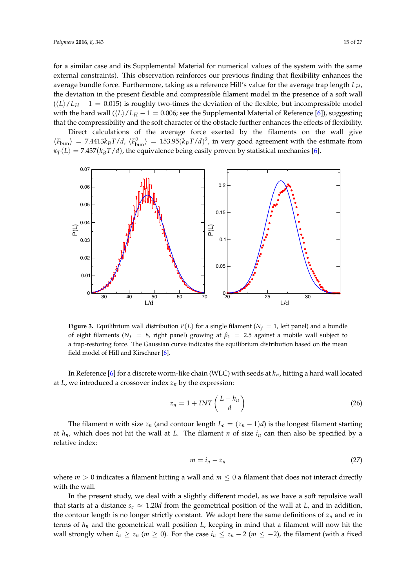for a similar case and its Supplemental Material for numerical values of the system with the same external constraints). This observation reinforces our previous finding that flexibility enhances the average bundle force. Furthermore, taking as a reference Hill's value for the average trap length *LH*, the deviation in the present flexible and compressible filament model in the presence of a soft wall  $(\frac{L}{L})/L_H - 1 = 0.015$ ) is roughly two-times the deviation of the flexible, but incompressible model with the hard wall  $(\frac{L}{L}L_H - 1 = 0.006$ ; see the Supplemental Material of Reference [6]), suggesting that the compressibility and the soft character of the obstacle further enhances the effects of flexibility.

Direct calculations of the average force exerted by the filaments on the wall give  $\langle F_{\text{bun}} \rangle$  = 7.4413 $k_B T/d$ ,  $\langle F_{\text{bun}}^2 \rangle$  = 153.95 $(k_B T/d)^2$ , in very good agreement with the estimate from  $\kappa_T \langle L \rangle = 7.437(k_B T/d)$ , the equivalence being easily proven by statistical mechanics [6].



**Figure 3.** Equilibrium wall distribution  $P(L)$  for a single filament ( $N_f = 1$ , left panel) and a bundle of eight filaments ( $N_f$  = 8, right panel) growing at  $\hat{\rho}_1$  = 2.5 against a mobile wall subject to a trap-restoring force. The Gaussian curve indicates the equilibrium distribution based on the mean field model of Hill and Kirschner [6].

In Reference [6] for a discrete worm-like chain (WLC) with seeds at *hn*, hitting a hard wall located at  $L$ , we introduced a crossover index  $z_n$  by the expression:

$$
z_n = 1 + INT\left(\frac{L - h_n}{d}\right) \tag{26}
$$

The filament *n* with size  $z_n$  (and contour length  $L_c = (z_n - 1)d$ ) is the longest filament starting at  $h_n$ , which does not hit the wall at *L*. The filament *n* of size  $i_n$  can then also be specified by a relative index:

$$
m = i_n - z_n \tag{27}
$$

where  $m > 0$  indicates a filament hitting a wall and  $m \leq 0$  a filament that does not interact directly with the wall.

In the present study, we deal with a slightly different model, as we have a soft repulsive wall that starts at a distance  $s_c \approx 1.20d$  from the geometrical position of the wall at *L*, and in addition, the contour length is no longer strictly constant. We adopt here the same definitions of  $z_n$  and  $m$  in terms of *hn* and the geometrical wall position *L*, keeping in mind that a filament will now hit the wall strongly when  $i_n \geq z_n$  ( $m \geq 0$ ). For the case  $i_n \leq z_n - 2$  ( $m \leq -2$ ), the filament (with a fixed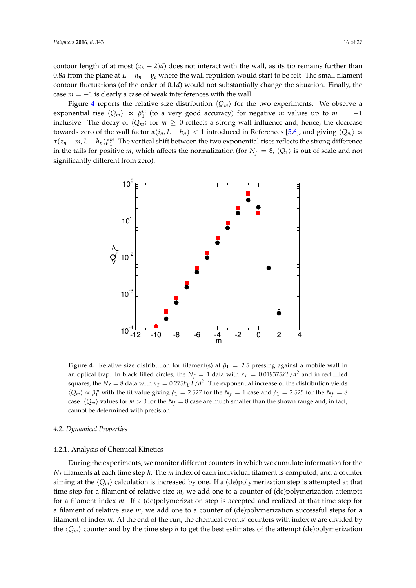contour length of at most  $(z_n - 2)d$  does not interact with the wall, as its tip remains further than 0.8*d* from the plane at  $L - h_n - y_c$  where the wall repulsion would start to be felt. The small filament contour fluctuations (of the order of 0.1*d*) would not substantially change the situation. Finally, the case *m* = −1 is clearly a case of weak interferences with the wall.

Figure 4 reports the relative size distribution  $\langle Q_m \rangle$  for the two experiments. We observe a exponential rise  $\langle Q_m \rangle \propto \hat{\rho}_1^m$  (to a very good accuracy) for negative *m* values up to  $m = -1$ inclusive. The decay of  $\langle Q_m \rangle$  for  $m \geq 0$  reflects a strong wall influence and, hence, the decrease towards zero of the wall factor  $α(i_n, L - h_n) < 1$  introduced in References [5,6], and giving  $\langle Q_m \rangle \propto$  $\alpha(z_n + m, L - h_n)\hat{\rho}_1^m$ . The vertical shift between the two exponential rises reflects the strong difference in the tails for positive *m*, which affects the normalization (for  $N_f = 8$ ,  $\langle Q_1 \rangle$  is out of scale and not significantly different from zero).



**Figure 4.** Relative size distribution for filament(s) at  $\hat{\rho}_1 = 2.5$  pressing against a mobile wall in an optical trap. In black filled circles, the  $N_f = 1$  data with  $\kappa_T = 0.019375kT/d^2$  and in red filled squares, the  $N_f = 8$  data with  $\kappa_T = 0.275 k_B T/d^2$ . The exponential increase of the distribution yields  $\langle Q_m \rangle \propto \hat{\rho}_1^m$  with the fit value giving  $\hat{\rho}_1 = 2.527$  for the  $N_f = 1$  case and  $\hat{\rho}_1 = 2.525$  for the  $N_f = 8$ case.  $\langle Q_m \rangle$  values for  $m > 0$  for the  $N_f = 8$  case are much smaller than the shown range and, in fact, cannot be determined with precision.

#### *4.2. Dynamical Properties*

#### 4.2.1. Analysis of Chemical Kinetics

During the experiments, we monitor different counters in which we cumulate information for the *N<sup>f</sup>* filaments at each time step *h*. The *m* index of each individual filament is computed, and a counter aiming at the  $\langle Q_m \rangle$  calculation is increased by one. If a (de)polymerization step is attempted at that time step for a filament of relative size *m*, we add one to a counter of (de)polymerization attempts for a filament index *m*. If a (de)polymerization step is accepted and realized at that time step for a filament of relative size *m*, we add one to a counter of (de)polymerization successful steps for a filament of index *m*. At the end of the run, the chemical events' counters with index *m* are divided by the  $\langle Q_m \rangle$  counter and by the time step *h* to get the best estimates of the attempt (de)polymerization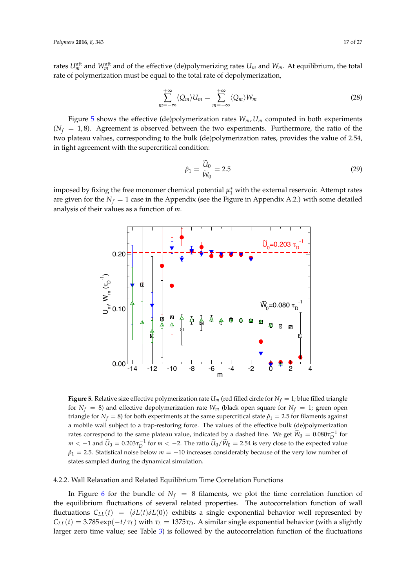rates  $U_m^{\text{att}}$  and  $W_m^{\text{att}}$  and of the effective (de)polymerizing rates  $U_m$  and  $W_m$ . At equilibrium, the total rate of polymerization must be equal to the total rate of depolymerization,

$$
\sum_{m=-\infty}^{+\infty} \langle Q_m \rangle U_m = \sum_{m=-\infty}^{+\infty} \langle Q_m \rangle W_m \tag{28}
$$

Figure 5 shows the effective (de)polymerization rates  $W_m$ ,  $U_m$  computed in both experiments  $(N_f = 1, 8)$ . Agreement is observed between the two experiments. Furthermore, the ratio of the two plateau values, corresponding to the bulk (de)polymerization rates, provides the value of 2.54, in tight agreement with the supercritical condition:

$$
\hat{\rho}_1 = \frac{\widetilde{U}_0}{\widetilde{W}_0} = 2.5\tag{29}
$$

imposed by fixing the free monomer chemical potential  $\mu_1^*$  with the external reservoir. Attempt rates are given for the  $N_f = 1$  case in the Appendix (see the Figure in Appendix A.2.) with some detailed analysis of their values as a function of *m*.



**Figure 5.** Relative size effective polymerization rate  $U_m$  (red filled circle for  $N_f = 1$ ; blue filled triangle for  $N_f = 8$ ) and effective depolymerization rate  $W_m$  (black open square for  $N_f = 1$ ; green open triangle for  $N_f = 8$ ) for both experiments at the same supercritical state  $\hat{\rho}_1 = 2.5$  for filaments against a mobile wall subject to a trap-restoring force. The values of the effective bulk (de)polymerization rates correspond to the same plateau value, indicated by a dashed line. We get  $\widetilde{W}_0 = 0.080 \tau_D^{-1}$  for *m* < −1 and  $\widetilde{U}_0 = 0.203 \tau_D^{-1}$  for *m* < −2. The ratio  $\widetilde{U}_0/\widetilde{W}_0 = 2.54$  is very close to the expected value  $\rho_1$  = 2.5. Statistical noise below  $m = -10$  increases considerably because of the very low number of states sampled during the dynamical simulation.

#### 4.2.2. Wall Relaxation and Related Equilibrium Time Correlation Functions

In Figure 6 for the bundle of  $N_f = 8$  filaments, we plot the time correlation function of the equilibrium fluctuations of several related properties. The autocorrelation function of wall fluctuations  $C_{LL}(t) = \langle \delta L(t) \delta L(0) \rangle$  exhibits a single exponential behavior well represented by *C*<sub>*LL</sub>*(*t*) = 3.785 exp( $-t/τ_L$ ) with  $τ_L$  = 1375 $τ_D$ . A similar single exponential behavior (with a slightly</sub> larger zero time value; see Table 3) is followed by the autocorrelation function of the fluctuations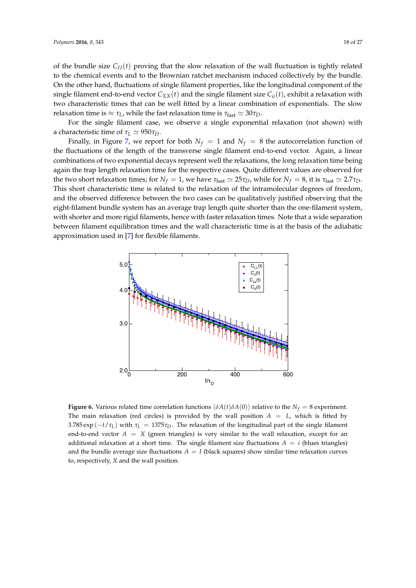of the bundle size  $C_{II}(t)$  proving that the slow relaxation of the wall fluctuation is tightly related to the chemical events and to the Brownian ratchet mechanism induced collectively by the bundle. On the other hand, fluctuations of single filament properties, like the longitudinal component of the single filament end-to-end vector  $C_{XX}(t)$  and the single filament size  $C_{ii}(t)$ , exhibit a relaxation with two characteristic times that can be well fitted by a linear combination of exponentials. The slow relaxation time is  $\approx \tau_L$ , while the fast relaxation time is  $\tau_{\text{fast}} \simeq 30 \tau_D$ .

For the single filament case, we observe a single exponential relaxation (not shown) with a characteristic time of  $τ_L \approx 950τ_D$ .

Finally, in Figure 7, we report for both  $N_f = 1$  and  $N_f = 8$  the autocorrelation function of the fluctuations of the length of the transverse single filament end-to-end vector. Again, a linear combinations of two exponential decays represent well the relaxations, the long relaxation time being again the trap length relaxation time for the respective cases. Quite different values are observed for the two short relaxation times; for  $N_f = 1$ , we have  $\tau_{fast} \approx 25\tau_D$ , while for  $N_f = 8$ , it is  $\tau_{fast} \approx 2.7\tau_D$ . This short characteristic time is related to the relaxation of the intramolecular degrees of freedom, and the observed difference between the two cases can be qualitatively justified observing that the eight-filament bundle system has an average trap length quite shorter than the one-filament system, with shorter and more rigid filaments, hence with faster relaxation times. Note that a wide separation between filament equilibration times and the wall characteristic time is at the basis of the adiabatic approximation used in [7] for flexible filaments.



**Figure 6.** Various related time correlation functions  $\langle \delta A(t) \delta A(0) \rangle$  relative to the  $N_f = 8$  experiment. The main relaxation (red circles) is provided by the wall position  $A = L$ , which is fitted by 3.785 exp ( $-t/\tau_L$ ) with  $\tau_L = 1375\tau_D$ . The relaxation of the longitudinal part of the single filament end-to-end vector  $A = X$  (green triangles) is very similar to the wall relaxation, except for an additional relaxation at a short time. The single filament size fluctuations  $A = i$  (blues triangles) and the bundle average size fluctuations  $A = I$  (black squares) show similar time relaxation curves to, respectively, *X* and the wall position.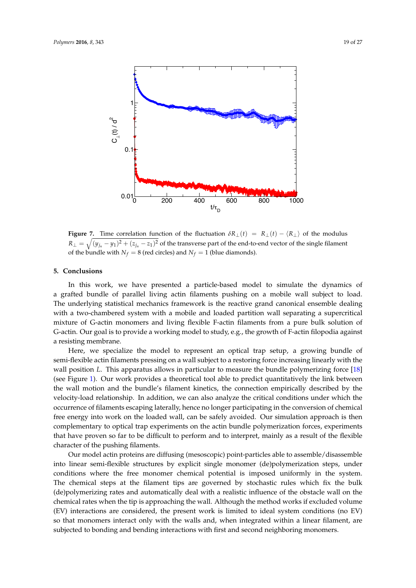

**Figure 7.** Time correlation function of the fluctuation  $\delta R_{\perp}(t) = R_{\perp}(t) - \langle R_{\perp} \rangle$  of the modulus  $R_\perp = \sqrt{(y_{j_n} - y_1)^2 + (z_{j_n} - z_1)^2}$  of the transverse part of the end-to-end vector of the single filament of the bundle with  $N_f = 8$  (red circles) and  $N_f = 1$  (blue diamonds).

## **5. Conclusions**

In this work, we have presented a particle-based model to simulate the dynamics of a grafted bundle of parallel living actin filaments pushing on a mobile wall subject to load. The underlying statistical mechanics framework is the reactive grand canonical ensemble dealing with a two-chambered system with a mobile and loaded partition wall separating a supercritical mixture of G-actin monomers and living flexible F-actin filaments from a pure bulk solution of G-actin. Our goal is to provide a working model to study, e.g., the growth of F-actin filopodia against a resisting membrane.

Here, we specialize the model to represent an optical trap setup, a growing bundle of semi-flexible actin filaments pressing on a wall subject to a restoring force increasing linearly with the wall position *L*. This apparatus allows in particular to measure the bundle polymerizing force [18] (see Figure 1). Our work provides a theoretical tool able to predict quantitatively the link between the wall motion and the bundle's filament kinetics, the connection empirically described by the velocity-load relationship. In addition, we can also analyze the critical conditions under which the occurrence of filaments escaping laterally, hence no longer participating in the conversion of chemical free energy into work on the loaded wall, can be safely avoided. Our simulation approach is then complementary to optical trap experiments on the actin bundle polymerization forces, experiments that have proven so far to be difficult to perform and to interpret, mainly as a result of the flexible character of the pushing filaments.

Our model actin proteins are diffusing (mesoscopic) point-particles able to assemble/disassemble into linear semi-flexible structures by explicit single monomer (de)polymerization steps, under conditions where the free monomer chemical potential is imposed uniformly in the system. The chemical steps at the filament tips are governed by stochastic rules which fix the bulk (de)polymerizing rates and automatically deal with a realistic influence of the obstacle wall on the chemical rates when the tip is approaching the wall. Although the method works if excluded volume (EV) interactions are considered, the present work is limited to ideal system conditions (no EV) so that monomers interact only with the walls and, when integrated within a linear filament, are subjected to bonding and bending interactions with first and second neighboring monomers.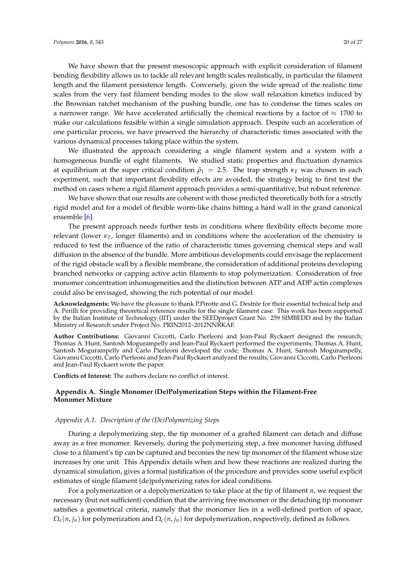We have shown that the present mesoscopic approach with explicit consideration of filament bending flexibility allows us to tackle all relevant length scales realistically, in particular the filament length and the filament persistence length. Conversely, given the wide spread of the realistic time scales from the very fast filament bending modes to the slow wall relaxation kinetics induced by the Brownian ratchet mechanism of the pushing bundle, one has to condense the times scales on a narrower range. We have accelerated artificially the chemical reactions by a factor of  $\approx 1700$  to make our calculations feasible within a single simulation approach. Despite such an acceleration of one particular process, we have preserved the hierarchy of characteristic times associated with the various dynamical processes taking place within the system.

We illustrated the approach considering a single filament system and a system with a homogeneous bundle of eight filaments. We studied static properties and fluctuation dynamics at equilibrium at the super critical condition  $\hat{\rho}_1 = 2.5$ . The trap strength  $\kappa_T$  was chosen in each experiment, such that important flexibility effects are avoided, the strategy being to first test the method on cases where a rigid filament approach provides a semi-quantitative, but robust reference.

We have shown that our results are coherent with those predicted theoretically both for a strictly rigid model and for a model of flexible worm-like chains hitting a hard wall in the grand canonical ensemble [6].

The present approach needs further tests in conditions where flexibility effects become more relevant (lower  $\kappa_T$ , longer filaments) and in conditions where the acceleration of the chemistry is reduced to test the influence of the ratio of characteristic times governing chemical steps and wall diffusion in the absence of the bundle. More ambitious developments could envisage the replacement of the rigid obstacle wall by a flexible membrane, the consideration of additional proteins developing branched networks or capping active actin filaments to stop polymerization. Consideration of free monomer concentration inhomogeneities and the distinction between ATP and ADP actin complexes could also be envisaged, showing the rich potential of our model.

**Acknowledgments:** We have the pleasure to thank P.Pirotte and G. Destrée for their essential technical help and A. Perilli for providing theoretical reference results for the single filament case. This work has been supported by the Italian Institute of Technology (IIT) under the SEEDproject Grant No. 259 SIMBEDD and by the Italian Ministry of Research under Project No. PRIN2012–2012NNRKAF.

**Author Contributions:** Giovanni Ciccotti, Carlo Pierleoni and Jean-Paul Ryckaert designed the research; Thomas A. Hunt, Santosh Mogurampelly and Jean-Paul Ryckaert performed the experiments; Thomas A. Hunt, Santosh Mogurampelly and Carlo Pierleoni developed the code; Thomas A. Hunt, Santosh Mogurampelly, Giovanni Ciccotti, Carlo Pierleoni and Jean-Paul Ryckaert analyzed the results; Giovanni Ciccotti, Carlo Pierleoni and Jean-Paul Ryckaert wrote the paper.

**Conflicts of Interest:** The authors declare no conflict of interest.

## **Appendix A. Single Monomer (De)Polymerization Steps within the Filament-Free Monomer Mixture**

#### *Appendix A.1. Description of the (De)Polymerizing Steps*

During a depolymerizing step, the tip monomer of a grafted filament can detach and diffuse away as a free monomer. Reversely, during the polymerizing step, a free monomer having diffused close to a filament's tip can be captured and becomes the new tip monomer of the filament whose size increases by one unit. This Appendix details when and how these reactions are realized during the dynamical simulation, gives a formal justification of the procedure and provides some useful explicit estimates of single filament (de)polymerizing rates for ideal conditions.

For a polymerization or a depolymerization to take place at the tip of filament *n*, we request the necessary (but not sufficient) condition that the arriving free monomer or the detaching tip monomer satisfies a geometrical criteria, namely that the monomer lies in a well-defined portion of space,  $\Omega_s(n, j_n)$  for polymerization and  $\Omega_c(n, j_n)$  for depolymerization, respectively, defined as follows.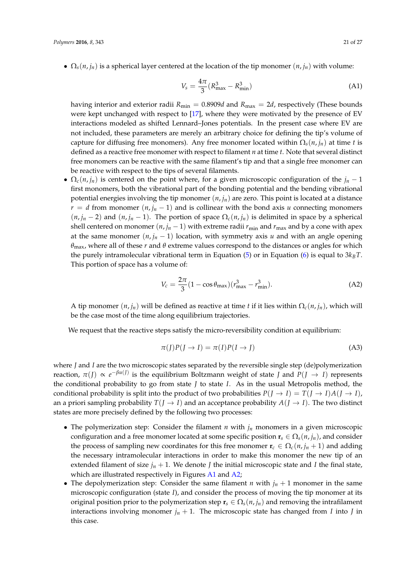•  $\Omega_s(n, j_n)$  is a spherical layer centered at the location of the tip monomer  $(n, j_n)$  with volume:

$$
V_s = \frac{4\pi}{3} (R_{\text{max}}^3 - R_{\text{min}}^3)
$$
 (A1)

having interior and exterior radii  $R_{\text{min}} = 0.8909d$  and  $R_{\text{max}} = 2d$ , respectively (These bounds were kept unchanged with respect to [17], where they were motivated by the presence of EV interactions modeled as shifted Lennard–Jones potentials. In the present case where EV are not included, these parameters are merely an arbitrary choice for defining the tip's volume of capture for diffusing free monomers). Any free monomer located within  $\Omega_s(n, i_n)$  at time *t* is defined as a reactive free monomer with respect to filament *n* at time *t*. Note that several distinct free monomers can be reactive with the same filament's tip and that a single free monomer can be reactive with respect to the tips of several filaments.

•  $\Omega_c(n, j_n)$  is centered on the point where, for a given microscopic configuration of the  $j_n - 1$ first monomers, both the vibrational part of the bonding potential and the bending vibrational potential energies involving the tip monomer (*n*, *jn*) are zero. This point is located at a distance  $r = d$  from monomer  $(n, j_n - 1)$  and is collinear with the bond axis *u* connecting monomers  $(n, j_n - 2)$  and  $(n, j_n - 1)$ . The portion of space  $\Omega_c(n, j_n)$  is delimited in space by a spherical shell centered on monomer  $(n, j_n - 1)$  with extreme radii  $r_{\min}$  and  $r_{\max}$  and by a cone with apex at the same monomer  $(n, j_n - 1)$  location, with symmetry axis *u* and with an angle opening *θ*max, where all of these *r* and *θ* extreme values correspond to the distances or angles for which the purely intramolecular vibrational term in Equation (5) or in Equation (6) is equal to  $3k_BT$ . This portion of space has a volume of:

$$
V_c = \frac{2\pi}{3} (1 - \cos \theta_{\text{max}}) (r_{\text{max}}^3 - r_{\text{min}}^3).
$$
 (A2)

A tip monomer  $(n, j_n)$  will be defined as reactive at time *t* if it lies within  $\Omega_c(n, j_n)$ , which will be the case most of the time along equilibrium trajectories.

We request that the reactive steps satisfy the micro-reversibility condition at equilibrium:

$$
\pi(I)P(I \to I) = \pi(I)P(I \to J)
$$
\n(A3)

where *J* and *I* are the two microscopic states separated by the reversible single step (de)polymerization reaction,  $\pi(J) \propto e^{-\beta u(J)}$  is the equilibrium Boltzmann weight of state *J* and  $P(J \to I)$  represents the conditional probability to go from state *J* to state *I*. As in the usual Metropolis method, the conditional probability is split into the product of two probabilities  $P(J \to I) = T(J \to I)A(J \to I)$ , an a priori sampling probability  $T(J \to I)$  and an acceptance probability  $A(J \to I)$ . The two distinct states are more precisely defined by the following two processes:

- The polymerization step: Consider the filament *n* with  $j_n$  monomers in a given microscopic configuration and a free monomer located at some specific position  $\mathbf{r}_s \in \Omega_s(n, j_n)$ , and consider the process of sampling new coordinates for this free monomer  $\mathbf{r}_c \in \Omega_c(n, j_n + 1)$  and adding the necessary intramolecular interactions in order to make this monomer the new tip of an extended filament of size  $j_n + 1$ . We denote *J* the initial microscopic state and *I* the final state, which are illustrated respectively in Figures A1 and A2;
- The depolymerization step: Consider the same filament *n* with  $j_n + 1$  monomer in the same microscopic configuration (state *I*), and consider the process of moving the tip monomer at its original position prior to the polymerization step  $\mathbf{r}_s \in \Omega_s(n, j_n)$  and removing the intrafilament interactions involving monomer  $j_n + 1$ . The microscopic state has changed from *I* into *J* in this case.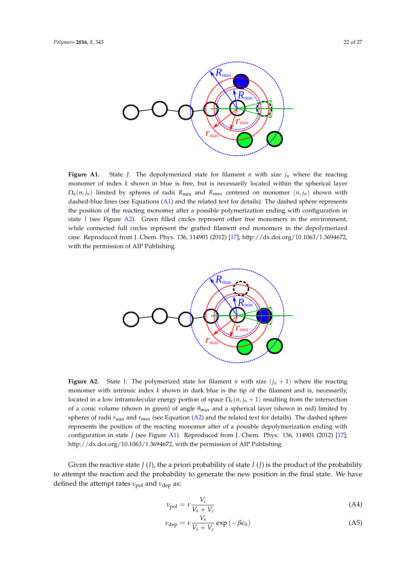

**Figure A1.** State *J*: The depolymerized state for filament *n* with size  $j_n$  where the reacting monomer of index *k* shown in blue is free, but is necessarily located within the spherical layer  $\Omega_{\rm s}(n, j_n)$  limited by spheres of radii  $R_{\rm min}$  and  $R_{\rm max}$  centered on monomer  $(n, j_n)$  shown with dashed-blue lines (see Equations (A1) and the related text for details). The dashed sphere represents the position of the reacting monomer after a possible polymerization ending with configuration in state *I* (see Figure A2). Green filled circles represent other free monomers in the environment, while connected full circles represent the grafted filament end monomers in the depolymerized case. Reproduced from J. Chem. Phys. 136, 114901 (2012) [17]; http://dx.doi.org/10.1063/1.3694672, with the permission of AIP Publishing.



**Figure A2.** State *I*: The polymerized state for filament *n* with size  $(j<sub>n</sub> + 1)$  where the reacting monomer with intrinsic index *k* shown in dark blue is the tip of the filament and is, necessarily, located in a low intramolecular energy portion of space  $\Omega_c(n, j_n + 1)$  resulting from the intersection of a conic volume (shown in green) of angle *θ*max and a spherical layer (shown in red) limited by spheres of radii  $r_{\text{min}}$  and  $r_{\text{max}}$  (see Equation (A2) and the related text for details). The dashed sphere represents the position of the reacting monomer after of a possible depolymerization ending with configuration in state *J* (see Figure A1). Reproduced from J. Chem. Phys. 136, 114901 (2012) [17]; http://dx.doi.org/10.1063/1.3694672, with the permission of AIP Publishing.

Given the reactive state *J* (*I*), the a priori probability of state *I* (*J*) is the product of the probability to attempt the reaction and the probability to generate the new position in the final state. We have defined the attempt rates *ν*<sub>pol</sub> and *ν*<sub>dep</sub> as:

$$
\nu_{\text{pol}} = \nu \frac{V_c}{V_s + V_c} \tag{A4}
$$

$$
\nu_{\rm dep} = \nu \frac{V_s}{V_s + V_c} \exp\left(-\beta \epsilon_0\right) \tag{A5}
$$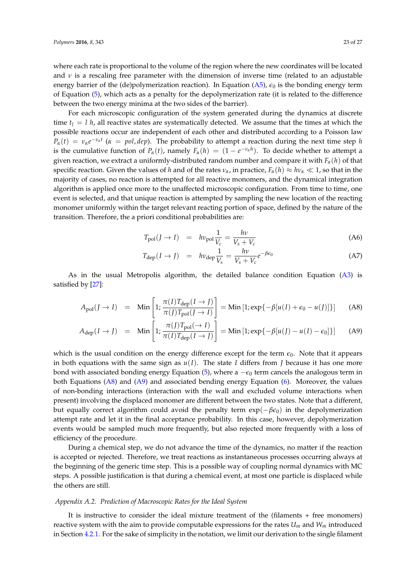where each rate is proportional to the volume of the region where the new coordinates will be located and  $\nu$  is a rescaling free parameter with the dimension of inverse time (related to an adjustable energy barrier of the (de)polymerization reaction). In Equation  $(A5)$ ,  $\epsilon_0$  is the bonding energy term of Equation (5), which acts as a penalty for the depolymerization rate (it is related to the difference between the two energy minima at the two sides of the barrier).

For each microscopic configuration of the system generated during the dynamics at discrete time  $t<sub>l</sub> = l h$ , all reactive states are systematically detected. We assume that the times at which the possible reactions occur are independent of each other and distributed according to a Poisson law  $P_\alpha(t) = v_\alpha e^{-v_\alpha t}$  ( $\alpha = pol$ , *dep*). The probability to attempt a reaction during the next time step *h* is the cumulative function of  $P_\alpha(t)$ , namely  $F_\alpha(h) = (1 - e^{-v_\alpha h})$ . To decide whether to attempt a given reaction, we extract a uniformly-distributed random number and compare it with *Fα*(*h*) of that specific reaction. Given the values of *h* and of the rates  $\nu_\alpha$ , in practice,  $F_\alpha(h) \approx h\nu_\alpha \ll 1$ , so that in the majority of cases, no reaction is attempted for all reactive monomers, and the dynamical integration algorithm is applied once more to the unaffected microscopic configuration. From time to time, one event is selected, and that unique reaction is attempted by sampling the new location of the reacting monomer uniformly within the target relevant reacting portion of space, defined by the nature of the transition. Therefore, the a priori conditional probabilities are:

$$
T_{pol}(J \to I) = h\nu_{pol} \frac{1}{V_c} = \frac{h\nu}{V_s + V_c}
$$
\n(A6)

$$
T_{\rm dep}(I \to J) = h\nu_{\rm dep} \frac{1}{V_s} = \frac{h\nu}{V_s + V_c} e^{-\beta \epsilon_0}
$$
 (A7)

As in the usual Metropolis algorithm, the detailed balance condition Equation (A3) is satisfied by [27]:

$$
A_{\text{pol}}(J \to I) = \text{Min}\left[1; \frac{\pi(I)T_{\text{dep}}(I \to J)}{\pi(J)T_{\text{pol}}(J \to I)}\right] = \text{Min}\left[1; \exp\{-\beta[u(I) + \epsilon_0 - u(J)]\}\right]
$$
(A8)

$$
A_{\text{dep}}(I \to J) = \text{Min}\left[1; \frac{\pi(J)T_{\text{pol}}(\to I)}{\pi(I)T_{\text{dep}}(I \to J)}\right] = \text{Min}\left[1; \exp\{-\beta[u(J) - u(I) - \epsilon_0]\}\right]
$$
(A9)

which is the usual condition on the energy difference except for the term  $\epsilon_0$ . Note that it appears in both equations with the same sign as  $u(I)$ . The state *I* differs from *J* because it has one more bond with associated bonding energy Equation (5), where a  $-\epsilon_0$  term cancels the analogous term in both Equations (A8) and (A9) and associated bending energy Equation (6). Moreover, the values of non-bonding interactions (interaction with the wall and excluded volume interactions when present) involving the displaced monomer are different between the two states. Note that a different, but equally correct algorithm could avoid the penalty term exp(−*βǫ*0) in the depolymerization attempt rate and let it in the final acceptance probability. In this case, however, depolymerization events would be sampled much more frequently, but also rejected more frequently with a loss of efficiency of the procedure.

During a chemical step, we do not advance the time of the dynamics, no matter if the reaction is accepted or rejected. Therefore, we treat reactions as instantaneous processes occurring always at the beginning of the generic time step. This is a possible way of coupling normal dynamics with MC steps. A possible justification is that during a chemical event, at most one particle is displaced while the others are still.

## *Appendix A.2. Prediction of Macroscopic Rates for the Ideal System*

It is instructive to consider the ideal mixture treatment of the (filaments + free monomers) reactive system with the aim to provide computable expressions for the rates  $U_m$  and  $W_m$  introduced in Section 4.2.1. For the sake of simplicity in the notation, we limit our derivation to the single filament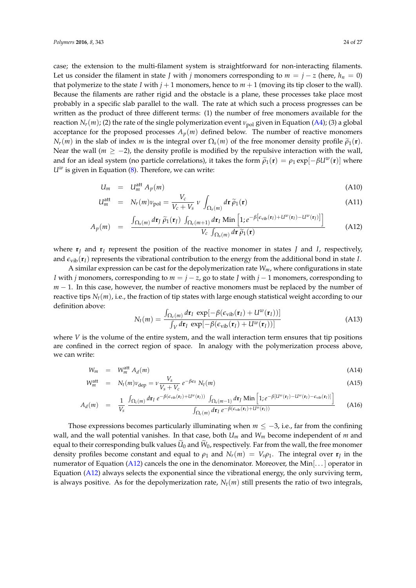case; the extension to the multi-filament system is straightforward for non-interacting filaments. Let us consider the filament in state *J* with *j* monomers corresponding to  $m = j - z$  (here,  $h_n = 0$ ) that polymerize to the state *I* with  $j + 1$  monomers, hence to  $m + 1$  (moving its tip closer to the wall). Because the filaments are rather rigid and the obstacle is a plane, these processes take place most probably in a specific slab parallel to the wall. The rate at which such a process progresses can be written as the product of three different terms: (1) the number of free monomers available for the reaction  $N_r(m)$ ; (2) the rate of the single polymerization event  $v_{\text{pol}}$  given in Equation (A4); (3) a global acceptance for the proposed processes  $A_p(m)$  defined below. The number of reactive monomers  $N_r(m)$  in the slab of index *m* is the integral over  $\Omega_s(m)$  of the free monomer density profile  $\tilde{\rho}_1(\mathbf{r})$ . Near the wall ( $m \ge -2$ ), the density profile is modified by the repulsive interaction with the wall, and for an ideal system (no particle correlations), it takes the form  $\tilde{\rho}_1(\mathbf{r}) = \rho_1 \exp[-\beta U^w(\mathbf{r})]$  where  $U^w$  is given in Equation (8). Therefore, we can write:

$$
U_m = U_m^{\text{att}} A_p(m) \tag{A10}
$$

$$
U_m^{\text{att}} = N_r(m)v_{\text{pol}} = \frac{V_c}{V_c + V_s} \nu \int_{\Omega_s(m)} d\mathbf{r} \, \tilde{\rho}_1(\mathbf{r})
$$
(A11)

$$
A_p(m) = \frac{\int_{\Omega_s(m)} d\mathbf{r}_J \, \widetilde{\rho}_1(\mathbf{r}_J) \, \int_{\Omega_c(m+1)} d\mathbf{r}_I \, \text{Min}\left[1, e^{-\beta \left[\epsilon_{\text{vib}}(\mathbf{r}_I) + U^w(\mathbf{r}_I) - U^w(\mathbf{r}_J)\right]}\right]}{V_c \, \int_{\Omega_s(m)} d\mathbf{r} \, \widetilde{\rho}_1(\mathbf{r})}
$$
(A12)

where  $\mathbf{r}_I$  and  $\mathbf{r}_I$  represent the position of the reactive monomer in states *J* and *I*, respectively, and  $\epsilon_{\text{vib}}(\mathbf{r}_I)$  represents the vibrational contribution to the energy from the additional bond in state *I*.

A similar expression can be cast for the depolymerization rate *Wm*, where configurations in state *I* with *j* monomers, corresponding to *m* = *j* − *z*, go to state *J* with *j* − 1 monomers, corresponding to *m* − 1. In this case, however, the number of reactive monomers must be replaced by the number of reactive tips *Nt*(*m*), i.e., the fraction of tip states with large enough statistical weight according to our definition above:

$$
N_t(m) = \frac{\int_{\Omega_c(m)} d\mathbf{r}_I \, \exp[-\beta(\epsilon_{\rm vib}(\mathbf{r}_I) + U^w(\mathbf{r}_I))]}{\int_V d\mathbf{r}_I \, \exp[-\beta(\epsilon_{\rm vib}(\mathbf{r}_I) + U^w(\mathbf{r}_I))]}
$$
(A13)

where *V* is the volume of the entire system, and the wall interaction term ensures that tip positions are confined in the correct region of space. In analogy with the polymerization process above, we can write:

$$
W_m = W_m^{\text{att}} A_d(m) \tag{A14}
$$

$$
W_m^{\text{att}} = N_t(m)\nu_{\text{dep}} = \nu \frac{V_s}{V_s + V_c} e^{-\beta \epsilon_0} N_t(m)
$$
\n(A15)

$$
A_d(m) = \frac{1}{V_s} \frac{\int_{\Omega_c(m)} d\mathbf{r}_I \, e^{-\beta(\epsilon_{\rm vib}(\mathbf{r}_I) + U^w(\mathbf{r}_I))} \int_{\Omega_s(m-1)} d\mathbf{r}_I \, \text{Min}\left[1; e^{-\beta[U^w(\mathbf{r}_I) - U^w(\mathbf{r}_I) - \epsilon_{\rm vib}(\mathbf{r}_I)]}\right]}{\int_{\Omega_c(m)} d\mathbf{r}_I \, e^{-\beta(\epsilon_{\rm vib}(\mathbf{r}_I) + U^w(\mathbf{r}_I))}}
$$
(A16)

Those expressions becomes particularly illuminating when *m* ≤ −3, i.e., far from the confining wall, and the wall potential vanishes. In that case, both *Um* and *Wm* become independent of *m* and equal to their corresponding bulk values  $U_0$  and  $W_0$ , respectively. Far from the wall, the free monomer density profiles become constant and equal to  $\rho_1$  and  $N_r(m) = V_s \rho_1$ . The integral over  $\mathbf{r}_j$  in the numerator of Equation (A12) cancels the one in the denominator. Moreover, the Min $[\dots]$  operator in Equation (A12) always selects the exponential since the vibrational energy, the only surviving term, is always positive. As for the depolymerization rate,  $N_t(m)$  still presents the ratio of two integrals,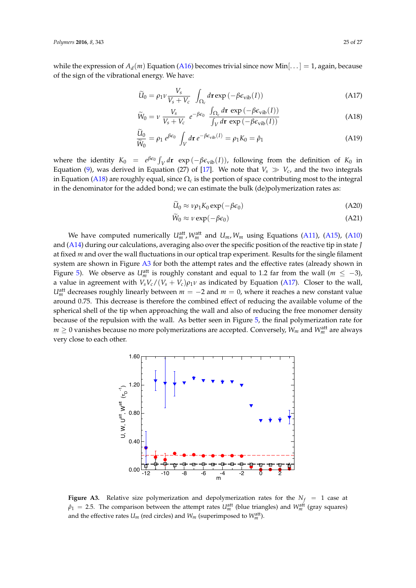while the expression of  $A_d(m)$  Equation (A16) becomes trivial since now Min $[\dots] = 1$ , again, because of the sign of the vibrational energy. We have:

$$
\widetilde{U}_0 = \rho_1 \nu \frac{V_s}{V_s + V_c} \int_{\Omega_c} d\mathbf{r} \exp\left(-\beta \epsilon_{\text{vib}}(I)\right) \tag{A17}
$$

$$
\widetilde{W}_0 = \nu \frac{V_s}{V_s + V_c} e^{-\beta \epsilon_0} \frac{\int_{\Omega_c} d\mathbf{r} \exp\left(-\beta \epsilon_{\text{vib}}(I)\right)}{\int_V d\mathbf{r} \exp\left(-\beta \epsilon_{\text{vib}}(I)\right)}
$$
(A18)

$$
\frac{\widetilde{U}_0}{\widetilde{W}_0} = \rho_1 \, e^{\beta \varepsilon_0} \int_V d\mathbf{r} \, e^{-\beta \varepsilon_{\text{vib}}(I)} = \rho_1 K_0 = \hat{\rho}_1 \tag{A19}
$$

where the identity  $K_0 = e^{\beta \epsilon_0} \int_V d\mathbf{r} \exp(-\beta \epsilon_{\text{vib}}(I))$ , following from the definition of  $K_0$  in Equation (9), was derived in Equation (27) of [17]. We note that  $V_s \gg V_c$ , and the two integrals in Equation (A18) are roughly equal, since Ω*<sup>c</sup>* is the portion of space contributing most to the integral in the denominator for the added bond; we can estimate the bulk (de)polymerization rates as:

$$
\widetilde{U}_0 \approx \nu \rho_1 K_0 \exp(-\beta \epsilon_0) \tag{A20}
$$

$$
\widetilde{W}_0 \approx \nu \exp(-\beta \epsilon_0) \tag{A21}
$$

We have computed numerically  $U_m^{\text{att}}$ ,  $W_m^{\text{att}}$  and  $U_m$ ,  $W_m$  using Equations (A11), (A15), (A10) and (A14) during our calculations, averaging also over the specific position of the reactive tip in state *J* at fixed *m* and over the wall fluctuations in our optical trap experiment. Results for the single filament system are shown in Figure A3 for both the attempt rates and the effective rates (already shown in Figure 5). We observe as  $U_m^{\text{att}}$  is roughly constant and equal to 1.2 far from the wall ( $m \leq -3$ ), a value in agreement with  $V_sV_c/(V_s+V_c)\rho_1\nu$  as indicated by Equation (A17). Closer to the wall,  $U_m^{\text{att}}$  decreases roughly linearly between  $m = -2$  and  $m = 0$ , where it reaches a new constant value around 0.75. This decrease is therefore the combined effect of reducing the available volume of the spherical shell of the tip when approaching the wall and also of reducing the free monomer density because of the repulsion with the wall. As better seen in Figure 5, the final polymerization rate for  $m \geq 0$  vanishes because no more polymerizations are accepted. Conversely,  $W_m$  and  $W^{\text{att}}_m$  are always very close to each other.



**Figure A3.** Relative size polymerization and depolymerization rates for the  $N_f = 1$  case at  $\hat{\rho}_1 = 2.5$ . The comparison between the attempt rates  $U_m^{\text{att}}$  (blue triangles) and  $W_m^{\text{att}}$  (gray squares) and the effective rates  $U_m$  (red circles) and  $W_m$  (superimposed to  $W_m^{\text{att}}$ ).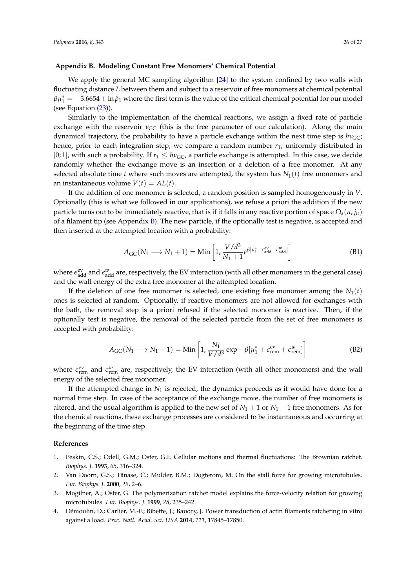## **Appendix B. Modeling Constant Free Monomers' Chemical Potential**

We apply the general MC sampling algorithm [24] to the system confined by two walls with fluctuating distance *L* between them and subject to a reservoir of free monomers at chemical potential  $\beta\mu_1^*=-3.6654+\ln\hat\rho_1$  where the first term is the value of the critical chemical potential for our model (see Equation (23)).

Similarly to the implementation of the chemical reactions, we assign a fixed rate of particle exchange with the reservoir  $\nu_{\text{GC}}$  (this is the free parameter of our calculation). Along the main dynamical trajectory, the probability to have a particle exchange within the next time step is  $h\nu_{\text{GC}}$ ; hence, prior to each integration step, we compare a random number  $r_1$ , uniformly distributed in [0; 1], with such a probability. If  $r_1 \leq h v_{\text{GC}}$ , a particle exchange is attempted. In this case, we decide randomly whether the exchange move is an insertion or a deletion of a free monomer. At any selected absolute time *t* where such moves are attempted, the system has  $N_1(t)$  free monomers and an instantaneous volume  $V(t) = A L(t)$ .

If the addition of one monomer is selected, a random position is sampled homogeneously in *V*. Optionally (this is what we followed in our applications), we refuse a priori the addition if the new particle turns out to be immediately reactive, that is if it falls in any reactive portion of space  $\Omega_s(n, j_n)$ of a filament tip (see Appendix  $B$ ). The new particle, if the optionally test is negative, is accepted and then inserted at the attempted location with a probability:

$$
A_{\rm GC}(N_1 \longrightarrow N_1 + 1) = \text{Min}\left[1, \frac{V/d^3}{N_1 + 1} e^{\beta[\mu_1^* - \epsilon_{\rm add}^{\rm ev} - \epsilon_{\rm add}^{\rm w}]\right]
$$
(B1)

where  $\epsilon_{\rm add}^{\rm ev}$  and  $\epsilon_{\rm add}^w$  are, respectively, the EV interaction (with all other monomers in the general case) and the wall energy of the extra free monomer at the attempted location.

If the deletion of one free monomer is selected, one existing free monomer among the  $N_1(t)$ ones is selected at random. Optionally, if reactive monomers are not allowed for exchanges with the bath, the removal step is a priori refused if the selected monomer is reactive. Then, if the optionally test is negative, the removal of the selected particle from the set of free monomers is accepted with probability:

$$
A_{\rm GC}(N_1 \longrightarrow N_1 - 1) = \text{Min}\left[1, \frac{N_1}{V/d^3} \exp{-\beta[\mu_1^* + \epsilon_{\rm rem}^{\rm ev} + \epsilon_{\rm rem}^w]}\right]
$$
(B2)

where  $\epsilon_{\text{rem}}^{\text{ev}}$  and  $\epsilon_{\text{rem}}^w$  are, respectively, the EV interaction (with all other monomers) and the wall energy of the selected free monomer.

If the attempted change in *N*<sup>1</sup> is rejected, the dynamics proceeds as it would have done for a normal time step. In case of the acceptance of the exchange move, the number of free monomers is altered, and the usual algorithm is applied to the new set of  $N_1 + 1$  or  $N_1 - 1$  free monomers. As for the chemical reactions, these exchange processes are considered to be instantaneous and occurring at the beginning of the time step.

## **References**

- 1. Peskin, C.S.; Odell, G.M.; Oster, G.F. Cellular motions and thermal fluctuations: The Brownian ratchet. *Biophys. J.* **1993**, *65*, 316–324.
- 2. Van Doorn, G.S.; Tănase, C.; Mulder, B.M.; Dogterom, M. On the stall force for growing microtubules. *Eur. Biophys. J.* **2000**, *29*, 2–6.
- 3. Mogilner, A.; Oster, G. The polymerization ratchet model explains the force-velocity relation for growing microtubules. *Eur. Biophys. J.* **1999**, *28*, 235–242.
- 4. Démoulin, D.; Carlier, M.-F.; Bibette, J.; Baudry, J. Power transduction of actin filaments ratcheting in vitro against a load. *Proc. Natl. Acad. Sci. USA* **2014**, *111*, 17845–17850.